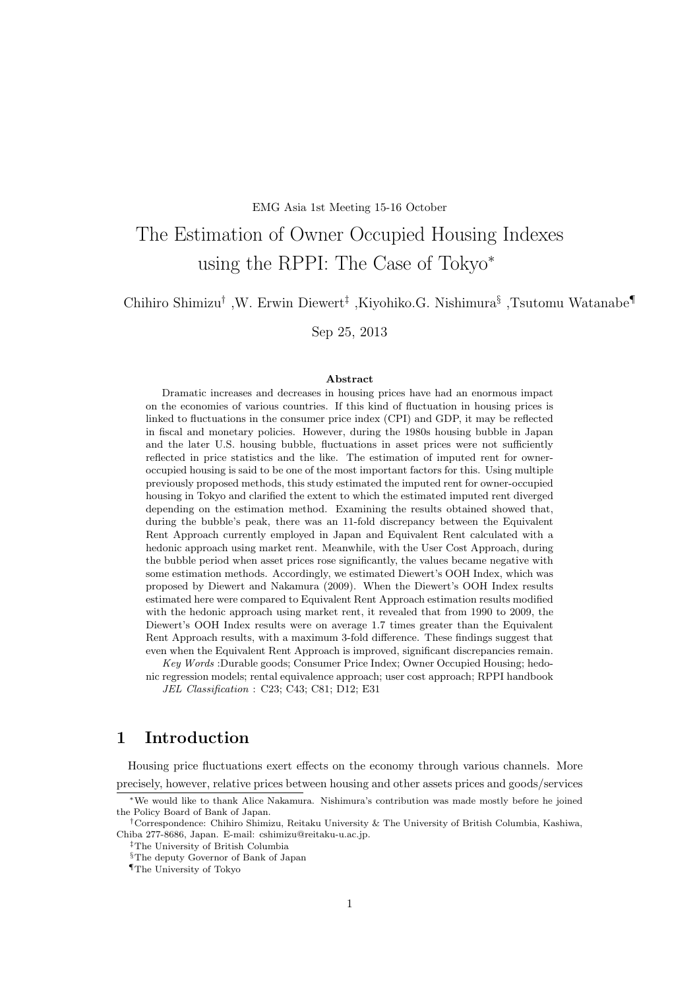EMG Asia 1st Meeting 15-16 October

# The Estimation of Owner Occupied Housing Indexes using the RPPI: The Case of Tokyo*<sup>∗</sup>*

## Chihiro Shimizu*†* ,W. Erwin Diewert*‡* ,Kiyohiko.G. Nishimura*§* ,Tsutomu Watanabe*¶*

Sep 25, 2013

#### **Abstract**

Dramatic increases and decreases in housing prices have had an enormous impact on the economies of various countries. If this kind of fluctuation in housing prices is linked to fluctuations in the consumer price index (CPI) and GDP, it may be reflected in fiscal and monetary policies. However, during the 1980s housing bubble in Japan and the later U.S. housing bubble, fluctuations in asset prices were not sufficiently reflected in price statistics and the like. The estimation of imputed rent for owneroccupied housing is said to be one of the most important factors for this. Using multiple previously proposed methods, this study estimated the imputed rent for owner-occupied housing in Tokyo and clarified the extent to which the estimated imputed rent diverged depending on the estimation method. Examining the results obtained showed that, during the bubble's peak, there was an 11-fold discrepancy between the Equivalent Rent Approach currently employed in Japan and Equivalent Rent calculated with a hedonic approach using market rent. Meanwhile, with the User Cost Approach, during the bubble period when asset prices rose significantly, the values became negative with some estimation methods. Accordingly, we estimated Diewert's OOH Index, which was proposed by Diewert and Nakamura (2009). When the Diewert's OOH Index results estimated here were compared to Equivalent Rent Approach estimation results modified with the hedonic approach using market rent, it revealed that from 1990 to 2009, the Diewert's OOH Index results were on average 1.7 times greater than the Equivalent Rent Approach results, with a maximum 3-fold difference. These findings suggest that even when the Equivalent Rent Approach is improved, significant discrepancies remain. *Key Words* :Durable goods; Consumer Price Index; Owner Occupied Housing; hedo-

nic regression models; rental equivalence approach; user cost approach; RPPI handbook *JEL Classification* : C23; C43; C81; D12; E31

# **1 Introduction**

Housing price fluctuations exert effects on the economy through various channels. More precisely, however, relative prices between housing and other assets prices and goods/services

*<sup>∗</sup>*We would like to thank Alice Nakamura. Nishimura's contribution was made mostly before he joined the Policy Board of Bank of Japan.

*<sup>†</sup>*Correspondence: Chihiro Shimizu, Reitaku University & The University of British Columbia, Kashiwa, Chiba 277-8686, Japan. E-mail: cshimizu@reitaku-u.ac.jp.

*<sup>‡</sup>*The University of British Columbia

*<sup>§</sup>*The deputy Governor of Bank of Japan

*<sup>¶</sup>*The University of Tokyo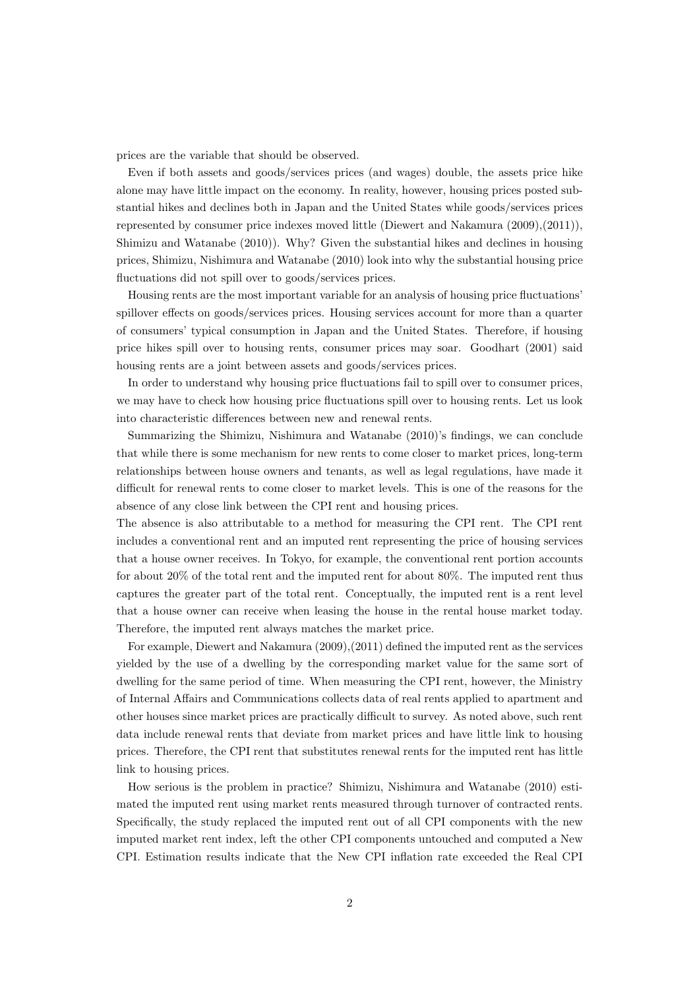prices are the variable that should be observed.

Even if both assets and goods/services prices (and wages) double, the assets price hike alone may have little impact on the economy. In reality, however, housing prices posted substantial hikes and declines both in Japan and the United States while goods/services prices represented by consumer price indexes moved little (Diewert and Nakamura (2009),(2011)), Shimizu and Watanabe (2010)). Why? Given the substantial hikes and declines in housing prices, Shimizu, Nishimura and Watanabe (2010) look into why the substantial housing price fluctuations did not spill over to goods/services prices.

Housing rents are the most important variable for an analysis of housing price fluctuations' spillover effects on goods/services prices. Housing services account for more than a quarter of consumers' typical consumption in Japan and the United States. Therefore, if housing price hikes spill over to housing rents, consumer prices may soar. Goodhart (2001) said housing rents are a joint between assets and goods/services prices.

In order to understand why housing price fluctuations fail to spill over to consumer prices, we may have to check how housing price fluctuations spill over to housing rents. Let us look into characteristic differences between new and renewal rents.

Summarizing the Shimizu, Nishimura and Watanabe (2010)'s findings, we can conclude that while there is some mechanism for new rents to come closer to market prices, long-term relationships between house owners and tenants, as well as legal regulations, have made it difficult for renewal rents to come closer to market levels. This is one of the reasons for the absence of any close link between the CPI rent and housing prices.

The absence is also attributable to a method for measuring the CPI rent. The CPI rent includes a conventional rent and an imputed rent representing the price of housing services that a house owner receives. In Tokyo, for example, the conventional rent portion accounts for about 20% of the total rent and the imputed rent for about 80%. The imputed rent thus captures the greater part of the total rent. Conceptually, the imputed rent is a rent level that a house owner can receive when leasing the house in the rental house market today. Therefore, the imputed rent always matches the market price.

For example, Diewert and Nakamura (2009),(2011) defined the imputed rent as the services yielded by the use of a dwelling by the corresponding market value for the same sort of dwelling for the same period of time. When measuring the CPI rent, however, the Ministry of Internal Affairs and Communications collects data of real rents applied to apartment and other houses since market prices are practically difficult to survey. As noted above, such rent data include renewal rents that deviate from market prices and have little link to housing prices. Therefore, the CPI rent that substitutes renewal rents for the imputed rent has little link to housing prices.

How serious is the problem in practice? Shimizu, Nishimura and Watanabe (2010) estimated the imputed rent using market rents measured through turnover of contracted rents. Specifically, the study replaced the imputed rent out of all CPI components with the new imputed market rent index, left the other CPI components untouched and computed a New CPI. Estimation results indicate that the New CPI inflation rate exceeded the Real CPI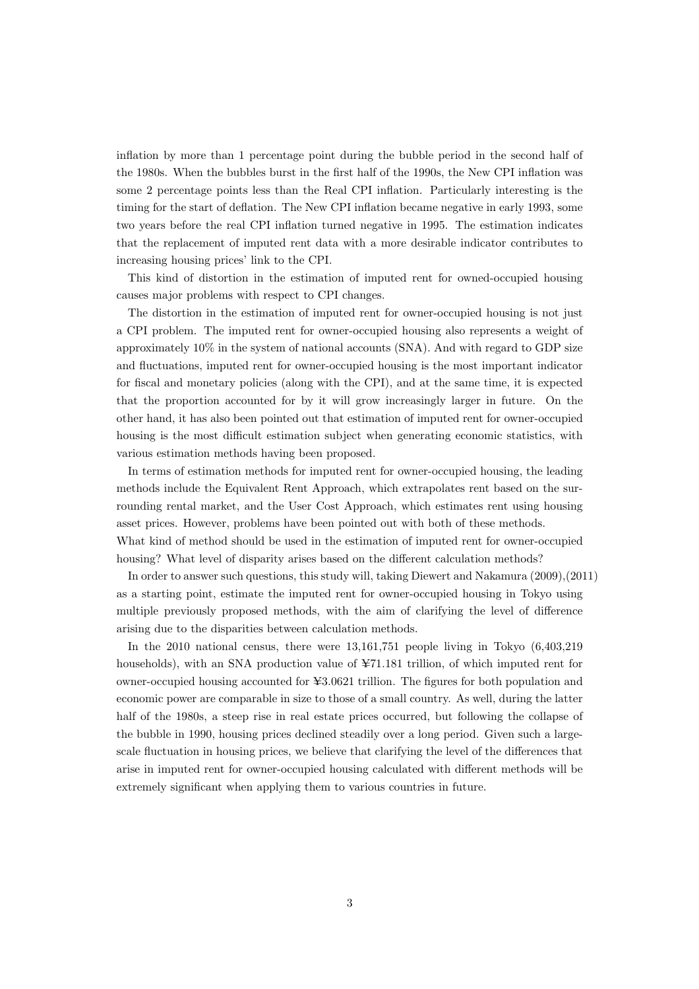inflation by more than 1 percentage point during the bubble period in the second half of the 1980s. When the bubbles burst in the first half of the 1990s, the New CPI inflation was some 2 percentage points less than the Real CPI inflation. Particularly interesting is the timing for the start of deflation. The New CPI inflation became negative in early 1993, some two years before the real CPI inflation turned negative in 1995. The estimation indicates that the replacement of imputed rent data with a more desirable indicator contributes to increasing housing prices' link to the CPI.

This kind of distortion in the estimation of imputed rent for owned-occupied housing causes major problems with respect to CPI changes.

The distortion in the estimation of imputed rent for owner-occupied housing is not just a CPI problem. The imputed rent for owner-occupied housing also represents a weight of approximately 10% in the system of national accounts (SNA). And with regard to GDP size and fluctuations, imputed rent for owner-occupied housing is the most important indicator for fiscal and monetary policies (along with the CPI), and at the same time, it is expected that the proportion accounted for by it will grow increasingly larger in future. On the other hand, it has also been pointed out that estimation of imputed rent for owner-occupied housing is the most difficult estimation subject when generating economic statistics, with various estimation methods having been proposed.

In terms of estimation methods for imputed rent for owner-occupied housing, the leading methods include the Equivalent Rent Approach, which extrapolates rent based on the surrounding rental market, and the User Cost Approach, which estimates rent using housing asset prices. However, problems have been pointed out with both of these methods. What kind of method should be used in the estimation of imputed rent for owner-occupied housing? What level of disparity arises based on the different calculation methods?

In order to answer such questions, this study will, taking Diewert and Nakamura (2009),(2011) as a starting point, estimate the imputed rent for owner-occupied housing in Tokyo using multiple previously proposed methods, with the aim of clarifying the level of difference arising due to the disparities between calculation methods.

In the 2010 national census, there were 13,161,751 people living in Tokyo (6,403,219 households), with an SNA production value of  $\yen 71.181$  trillion, of which imputed rent for owner-occupied housing accounted for  $\yen 3.0621$  trillion. The figures for both population and economic power are comparable in size to those of a small country. As well, during the latter half of the 1980s, a steep rise in real estate prices occurred, but following the collapse of the bubble in 1990, housing prices declined steadily over a long period. Given such a largescale fluctuation in housing prices, we believe that clarifying the level of the differences that arise in imputed rent for owner-occupied housing calculated with different methods will be extremely significant when applying them to various countries in future.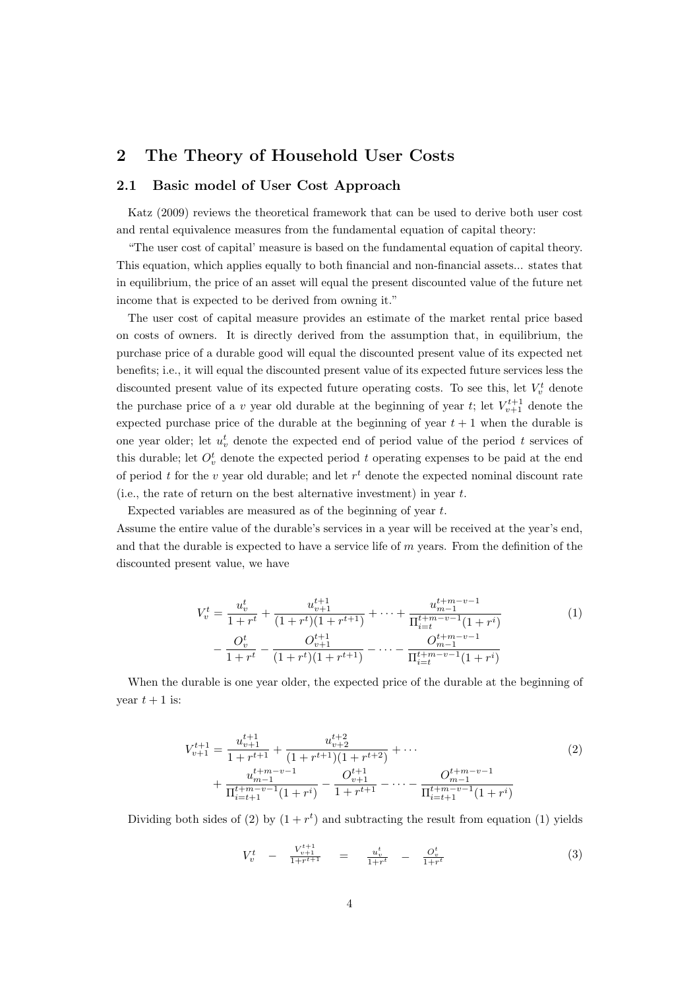# **2 The Theory of Household User Costs**

## **2.1 Basic model of User Cost Approach**

Katz (2009) reviews the theoretical framework that can be used to derive both user cost and rental equivalence measures from the fundamental equation of capital theory:

"The user cost of capital' measure is based on the fundamental equation of capital theory. This equation, which applies equally to both financial and non-financial assets... states that in equilibrium, the price of an asset will equal the present discounted value of the future net income that is expected to be derived from owning it."

The user cost of capital measure provides an estimate of the market rental price based on costs of owners. It is directly derived from the assumption that, in equilibrium, the purchase price of a durable good will equal the discounted present value of its expected net benefits; i.e., it will equal the discounted present value of its expected future services less the discounted present value of its expected future operating costs. To see this, let  $V_v^t$  denote the purchase price of a *v* year old durable at the beginning of year *t*; let  $V_{v+1}^{t+1}$  denote the expected purchase price of the durable at the beginning of year  $t + 1$  when the durable is one year older; let  $u_v^t$  denote the expected end of period value of the period  $t$  services of this durable; let  $O_v^t$  denote the expected period  $t$  operating expenses to be paid at the end of period *t* for the *v* year old durable; and let *r <sup>t</sup>* denote the expected nominal discount rate (i.e., the rate of return on the best alternative investment) in year *t*.

Expected variables are measured as of the beginning of year *t*. Assume the entire value of the durable's services in a year will be received at the year's end, and that the durable is expected to have a service life of *m* years. From the definition of the discounted present value, we have

$$
V_v^t = \frac{u_v^t}{1 + r^t} + \frac{u_{v+1}^{t+1}}{(1 + r^t)(1 + r^{t+1})} + \dots + \frac{u_{m-1}^{t+m-v-1}}{\prod_{i=t}^{t+m-v-1} (1 + r^i)} - \frac{O_v^t}{1 + r^t} - \frac{O_{v+1}^{t+1}}{(1 + r^t)(1 + r^{t+1})} - \dots - \frac{O_{m-1}^{t+m-v-1}}{\prod_{i=t}^{t+m-v-1} (1 + r^i)}
$$
(1)

When the durable is one year older, the expected price of the durable at the beginning of year  $t + 1$  is:

$$
V_{v+1}^{t+1} = \frac{u_{v+1}^{t+1}}{1+r^{t+1}} + \frac{u_{v+2}^{t+2}}{(1+r^{t+1})(1+r^{t+2})} + \cdots
$$
  
+ 
$$
\frac{u_{m-1}^{t+m-v-1}}{\Pi_{i=t+1}^{t+m-v-1}(1+r^{i})} - \frac{O_{v+1}^{t+1}}{1+r^{t+1}} - \cdots - \frac{O_{m-1}^{t+m-v-1}}{\Pi_{i=t+1}^{t+m-v-1}(1+r^{i})}
$$
 (2)

Dividing both sides of (2) by  $(1 + r^t)$  and subtracting the result from equation (1) yields

$$
V_v^t \t - \t \frac{V_{v+1}^{t+1}}{1+r^{t+1}} \t = \t \frac{u_v^t}{1+r^t} \t - \t \frac{O_v^t}{1+r^t} \t (3)
$$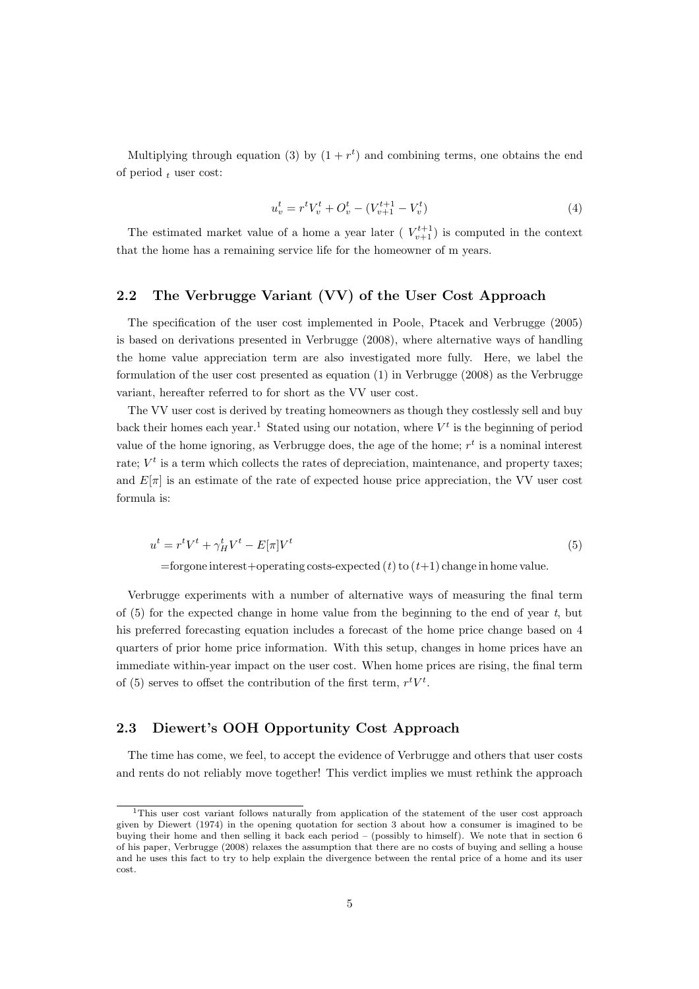Multiplying through equation (3) by  $(1 + r^t)$  and combining terms, one obtains the end of period *<sup>t</sup>* user cost:

$$
u_v^t = r^t V_v^t + O_v^t - (V_{v+1}^{t+1} - V_v^t)
$$
\n<sup>(4)</sup>

The estimated market value of a home a year later ( $V_{v+1}^{t+1}$ ) is computed in the context that the home has a remaining service life for the homeowner of m years.

#### **2.2 The Verbrugge Variant (VV) of the User Cost Approach**

The specification of the user cost implemented in Poole, Ptacek and Verbrugge (2005) is based on derivations presented in Verbrugge (2008), where alternative ways of handling the home value appreciation term are also investigated more fully. Here, we label the formulation of the user cost presented as equation (1) in Verbrugge (2008) as the Verbrugge variant, hereafter referred to for short as the VV user cost.

The VV user cost is derived by treating homeowners as though they costlessly sell and buy back their homes each year.<sup>1</sup> Stated using our notation, where  $V^t$  is the beginning of period value of the home ignoring, as Verbrugge does, the age of the home; *r t* is a nominal interest rate;  $V^t$  is a term which collects the rates of depreciation, maintenance, and property taxes; and  $E[\pi]$  is an estimate of the rate of expected house price appreciation, the VV user cost formula is:

$$
u^{t} = r^{t}V^{t} + \gamma_{H}^{t}V^{t} - E[\pi]V^{t}
$$
\n
$$
(5)
$$

 $=$ forgone interest+operating costs-expected  $(t)$  to  $(t+1)$  change in home value.

Verbrugge experiments with a number of alternative ways of measuring the final term of (5) for the expected change in home value from the beginning to the end of year *t*, but his preferred forecasting equation includes a forecast of the home price change based on 4 quarters of prior home price information. With this setup, changes in home prices have an immediate within-year impact on the user cost. When home prices are rising, the final term of (5) serves to offset the contribution of the first term,  $r^t V^t$ .

#### **2.3 Diewert's OOH Opportunity Cost Approach**

The time has come, we feel, to accept the evidence of Verbrugge and others that user costs and rents do not reliably move together! This verdict implies we must rethink the approach

<sup>&</sup>lt;sup>1</sup>This user cost variant follows naturally from application of the statement of the user cost approach given by Diewert (1974) in the opening quotation for section 3 about how a consumer is imagined to be buying their home and then selling it back each period – (possibly to himself). We note that in section 6 of his paper, Verbrugge (2008) relaxes the assumption that there are no costs of buying and selling a house and he uses this fact to try to help explain the divergence between the rental price of a home and its user cost.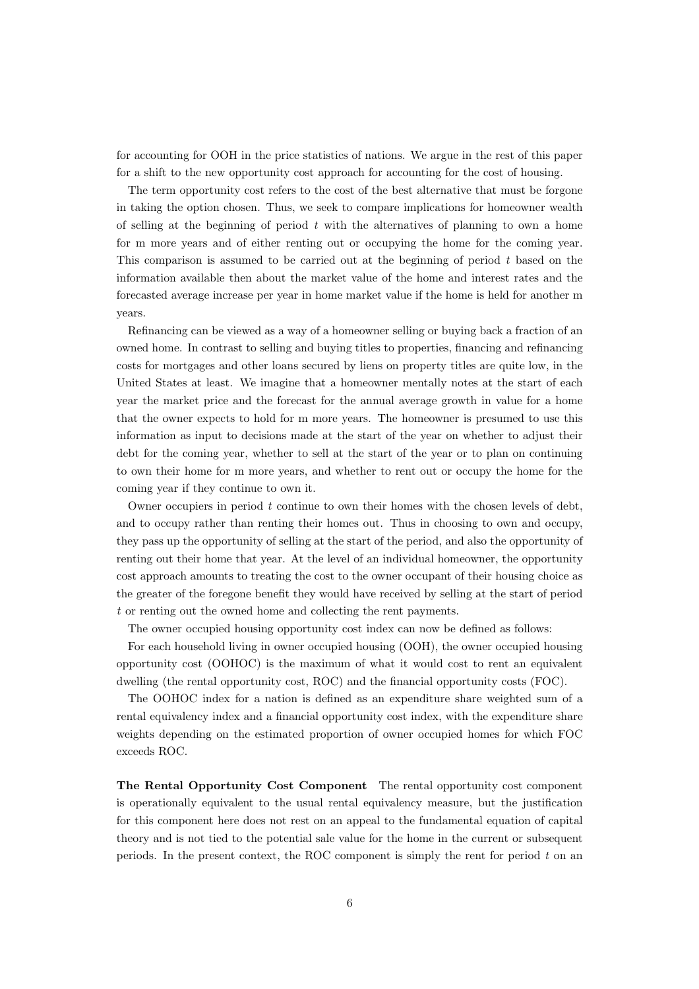for accounting for OOH in the price statistics of nations. We argue in the rest of this paper for a shift to the new opportunity cost approach for accounting for the cost of housing.

The term opportunity cost refers to the cost of the best alternative that must be forgone in taking the option chosen. Thus, we seek to compare implications for homeowner wealth of selling at the beginning of period *t* with the alternatives of planning to own a home for m more years and of either renting out or occupying the home for the coming year. This comparison is assumed to be carried out at the beginning of period *t* based on the information available then about the market value of the home and interest rates and the forecasted average increase per year in home market value if the home is held for another m years.

Refinancing can be viewed as a way of a homeowner selling or buying back a fraction of an owned home. In contrast to selling and buying titles to properties, financing and refinancing costs for mortgages and other loans secured by liens on property titles are quite low, in the United States at least. We imagine that a homeowner mentally notes at the start of each year the market price and the forecast for the annual average growth in value for a home that the owner expects to hold for m more years. The homeowner is presumed to use this information as input to decisions made at the start of the year on whether to adjust their debt for the coming year, whether to sell at the start of the year or to plan on continuing to own their home for m more years, and whether to rent out or occupy the home for the coming year if they continue to own it.

Owner occupiers in period *t* continue to own their homes with the chosen levels of debt, and to occupy rather than renting their homes out. Thus in choosing to own and occupy, they pass up the opportunity of selling at the start of the period, and also the opportunity of renting out their home that year. At the level of an individual homeowner, the opportunity cost approach amounts to treating the cost to the owner occupant of their housing choice as the greater of the foregone benefit they would have received by selling at the start of period *t* or renting out the owned home and collecting the rent payments.

The owner occupied housing opportunity cost index can now be defined as follows:

For each household living in owner occupied housing (OOH), the owner occupied housing opportunity cost (OOHOC) is the maximum of what it would cost to rent an equivalent dwelling (the rental opportunity cost, ROC) and the financial opportunity costs (FOC).

The OOHOC index for a nation is defined as an expenditure share weighted sum of a rental equivalency index and a financial opportunity cost index, with the expenditure share weights depending on the estimated proportion of owner occupied homes for which FOC exceeds ROC.

**The Rental Opportunity Cost Component** The rental opportunity cost component is operationally equivalent to the usual rental equivalency measure, but the justification for this component here does not rest on an appeal to the fundamental equation of capital theory and is not tied to the potential sale value for the home in the current or subsequent periods. In the present context, the ROC component is simply the rent for period *t* on an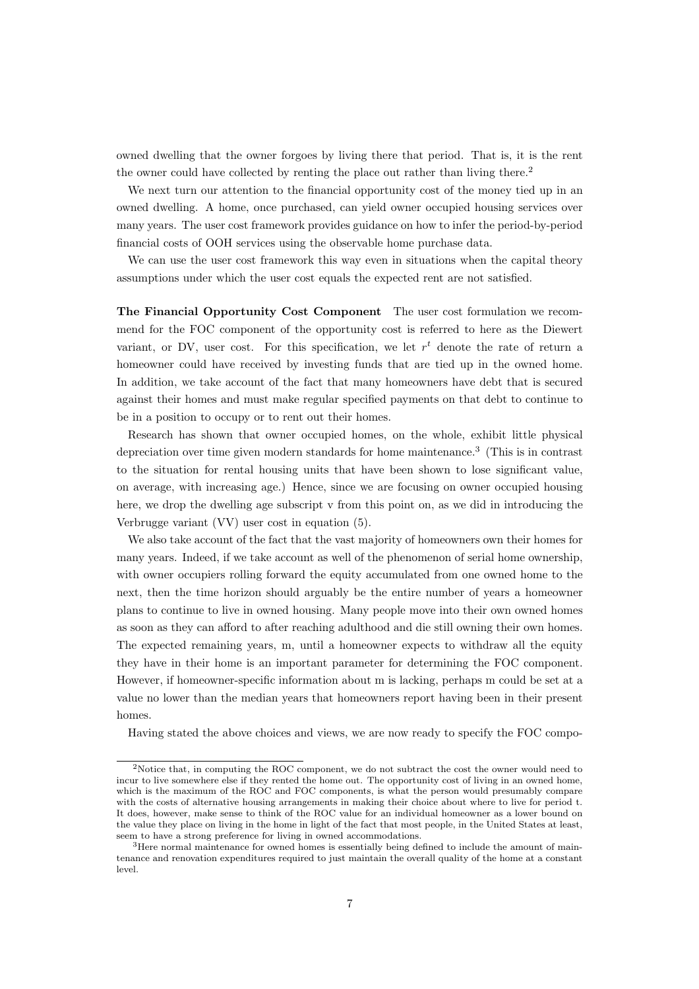owned dwelling that the owner forgoes by living there that period. That is, it is the rent the owner could have collected by renting the place out rather than living there.<sup>2</sup>

We next turn our attention to the financial opportunity cost of the money tied up in an owned dwelling. A home, once purchased, can yield owner occupied housing services over many years. The user cost framework provides guidance on how to infer the period-by-period financial costs of OOH services using the observable home purchase data.

We can use the user cost framework this way even in situations when the capital theory assumptions under which the user cost equals the expected rent are not satisfied.

**The Financial Opportunity Cost Component** The user cost formulation we recommend for the FOC component of the opportunity cost is referred to here as the Diewert variant, or DV, user cost. For this specification, we let  $r<sup>t</sup>$  denote the rate of return a homeowner could have received by investing funds that are tied up in the owned home. In addition, we take account of the fact that many homeowners have debt that is secured against their homes and must make regular specified payments on that debt to continue to be in a position to occupy or to rent out their homes.

Research has shown that owner occupied homes, on the whole, exhibit little physical depreciation over time given modern standards for home maintenance.<sup>3</sup> (This is in contrast to the situation for rental housing units that have been shown to lose significant value, on average, with increasing age.) Hence, since we are focusing on owner occupied housing here, we drop the dwelling age subscript v from this point on, as we did in introducing the Verbrugge variant (VV) user cost in equation (5).

We also take account of the fact that the vast majority of homeowners own their homes for many years. Indeed, if we take account as well of the phenomenon of serial home ownership, with owner occupiers rolling forward the equity accumulated from one owned home to the next, then the time horizon should arguably be the entire number of years a homeowner plans to continue to live in owned housing. Many people move into their own owned homes as soon as they can afford to after reaching adulthood and die still owning their own homes. The expected remaining years, m, until a homeowner expects to withdraw all the equity they have in their home is an important parameter for determining the FOC component. However, if homeowner-specific information about m is lacking, perhaps m could be set at a value no lower than the median years that homeowners report having been in their present homes.

Having stated the above choices and views, we are now ready to specify the FOC compo-

<sup>&</sup>lt;sup>2</sup>Notice that, in computing the ROC component, we do not subtract the cost the owner would need to incur to live somewhere else if they rented the home out. The opportunity cost of living in an owned home, which is the maximum of the ROC and FOC components, is what the person would presumably compare with the costs of alternative housing arrangements in making their choice about where to live for period t. It does, however, make sense to think of the ROC value for an individual homeowner as a lower bound on the value they place on living in the home in light of the fact that most people, in the United States at least, seem to have a strong preference for living in owned accommodations.

<sup>&</sup>lt;sup>3</sup>Here normal maintenance for owned homes is essentially being defined to include the amount of maintenance and renovation expenditures required to just maintain the overall quality of the home at a constant level.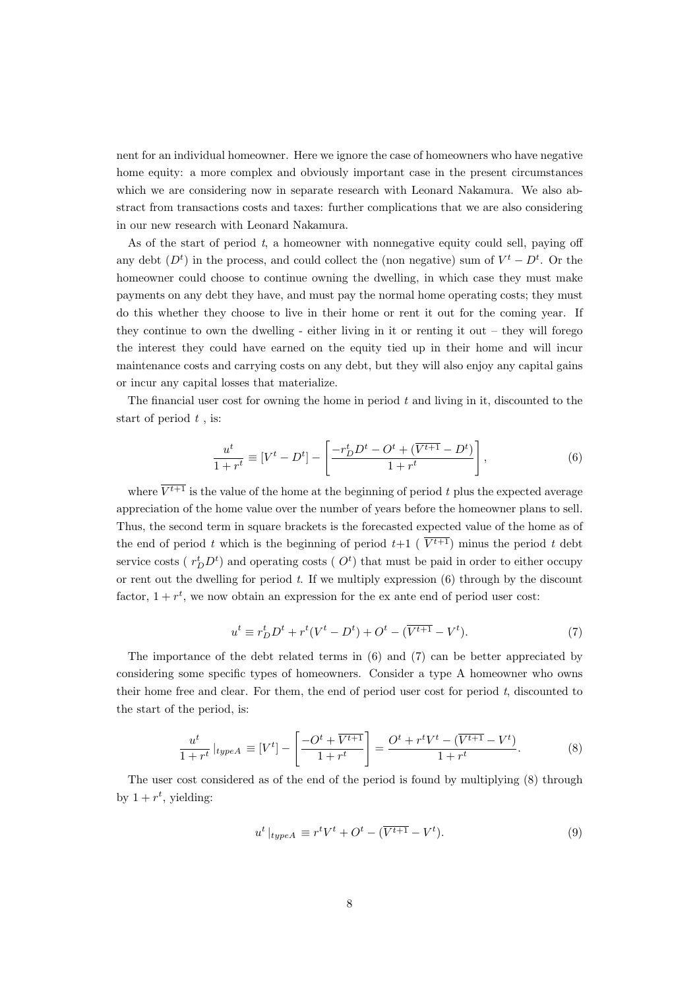nent for an individual homeowner. Here we ignore the case of homeowners who have negative home equity: a more complex and obviously important case in the present circumstances which we are considering now in separate research with Leonard Nakamura. We also abstract from transactions costs and taxes: further complications that we are also considering in our new research with Leonard Nakamura.

As of the start of period *t*, a homeowner with nonnegative equity could sell, paying off any debt  $(D<sup>t</sup>)$  in the process, and could collect the (non negative) sum of  $V<sup>t</sup> - D<sup>t</sup>$ . Or the homeowner could choose to continue owning the dwelling, in which case they must make payments on any debt they have, and must pay the normal home operating costs; they must do this whether they choose to live in their home or rent it out for the coming year. If they continue to own the dwelling - either living in it or renting it out – they will forego the interest they could have earned on the equity tied up in their home and will incur maintenance costs and carrying costs on any debt, but they will also enjoy any capital gains or incur any capital losses that materialize.

The financial user cost for owning the home in period *t* and living in it, discounted to the start of period *t* , is:

$$
\frac{u^t}{1+r^t} \equiv [V^t - D^t] - \left[ \frac{-r_D^t D^t - O^t + (\overline{V^{t+1}} - D^t)}{1+r^t} \right],
$$
\n(6)

where  $\overline{V^{t+1}}$  is the value of the home at the beginning of period *t* plus the expected average appreciation of the home value over the number of years before the homeowner plans to sell. Thus, the second term in square brackets is the forecasted expected value of the home as of the end of period *t* which is the beginning of period  $t+1$  ( $\overline{V^{t+1}}$ ) minus the period *t* debt service costs ( $r_D^t D^t$ ) and operating costs ( $O^t$ ) that must be paid in order to either occupy or rent out the dwelling for period *t*. If we multiply expression (6) through by the discount factor,  $1 + r^t$ , we now obtain an expression for the ex ante end of period user cost:

$$
u^{t} \equiv r_{D}^{t} D^{t} + r^{t} (V^{t} - D^{t}) + O^{t} - (\overline{V^{t+1}} - V^{t}). \tag{7}
$$

The importance of the debt related terms in (6) and (7) can be better appreciated by considering some specific types of homeowners. Consider a type A homeowner who owns their home free and clear. For them, the end of period user cost for period *t*, discounted to the start of the period, is:

$$
\frac{u^t}{1+r^t} \Big|_{typeA} \equiv [V^t] - \left[ \frac{-O^t + \overline{V^{t+1}}}{1+r^t} \right] = \frac{O^t + r^t V^t - (\overline{V^{t+1}} - V^t)}{1+r^t}.
$$
 (8)

The user cost considered as of the end of the period is found by multiplying (8) through by  $1 + r^t$ , yielding:

$$
u^{t}|_{typeA} \equiv r^{t}V^{t} + O^{t} - (\overline{V^{t+1}} - V^{t}). \tag{9}
$$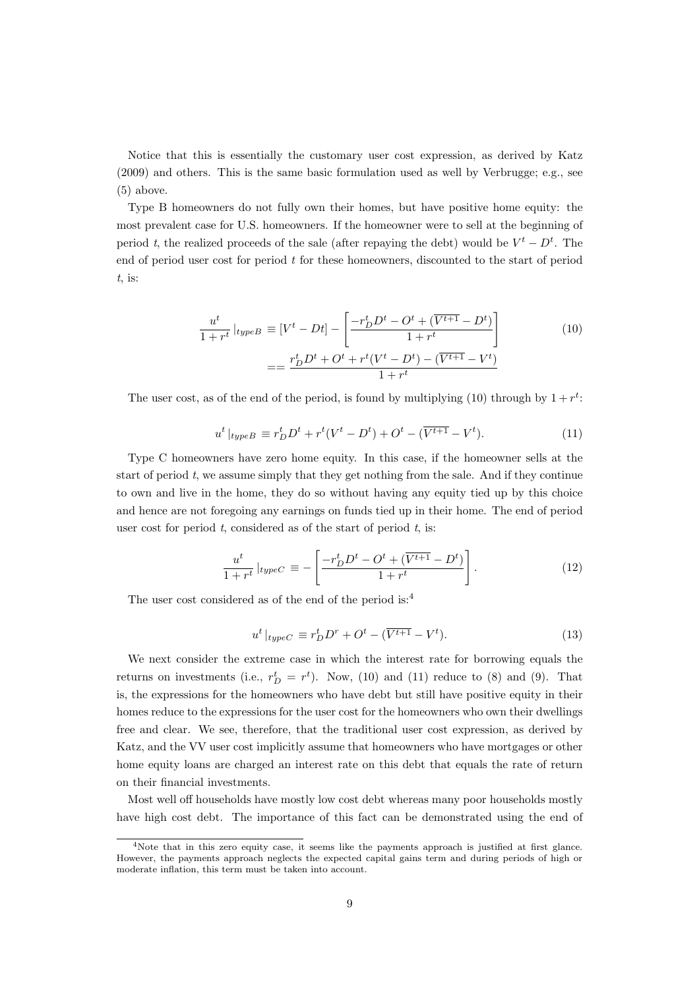Notice that this is essentially the customary user cost expression, as derived by Katz (2009) and others. This is the same basic formulation used as well by Verbrugge; e.g., see (5) above.

Type B homeowners do not fully own their homes, but have positive home equity: the most prevalent case for U.S. homeowners. If the homeowner were to sell at the beginning of period *t*, the realized proceeds of the sale (after repaying the debt) would be  $V^t - D^t$ . The end of period user cost for period *t* for these homeowners, discounted to the start of period *t*, is:

$$
\frac{u^t}{1+r^t} \Big|_{typeB} \equiv [V^t - Dt] - \left[ \frac{-r_D^t D^t - O^t + (\overline{V^{t+1}} - D^t)}{1+r^t} \right] = \frac{r_D^t D^t + O^t + r^t (V^t - D^t) - (\overline{V^{t+1}} - V^t)}{1+r^t}
$$
(10)

The user cost, as of the end of the period, is found by multiplying  $(10)$  through by  $1 + r^t$ .

$$
u^{t}|_{typeB} \equiv r^{t}_{D}D^{t} + r^{t}(V^{t} - D^{t}) + O^{t} - (\overline{V^{t+1}} - V^{t}). \tag{11}
$$

Type C homeowners have zero home equity. In this case, if the homeowner sells at the start of period *t*, we assume simply that they get nothing from the sale. And if they continue to own and live in the home, they do so without having any equity tied up by this choice and hence are not foregoing any earnings on funds tied up in their home. The end of period user cost for period *t*, considered as of the start of period *t*, is:

$$
\frac{u^t}{1+r^t}|_{typeC} \equiv -\left[\frac{-r_D^t D^t - O^t + (\overline{V^{t+1}} - D^t)}{1+r^t}\right].
$$
\n(12)

The user cost considered as of the end of the period is:<sup>4</sup>

$$
u^t |_{typeC} \equiv r_D^t D^r + O^t - (\overline{V^{t+1}} - V^t). \tag{13}
$$

We next consider the extreme case in which the interest rate for borrowing equals the returns on investments (i.e.,  $r_D^t = r^t$ ). Now, (10) and (11) reduce to (8) and (9). That is, the expressions for the homeowners who have debt but still have positive equity in their homes reduce to the expressions for the user cost for the homeowners who own their dwellings free and clear. We see, therefore, that the traditional user cost expression, as derived by Katz, and the VV user cost implicitly assume that homeowners who have mortgages or other home equity loans are charged an interest rate on this debt that equals the rate of return on their financial investments.

Most well off households have mostly low cost debt whereas many poor households mostly have high cost debt. The importance of this fact can be demonstrated using the end of

<sup>4</sup>Note that in this zero equity case, it seems like the payments approach is justified at first glance. However, the payments approach neglects the expected capital gains term and during periods of high or moderate inflation, this term must be taken into account.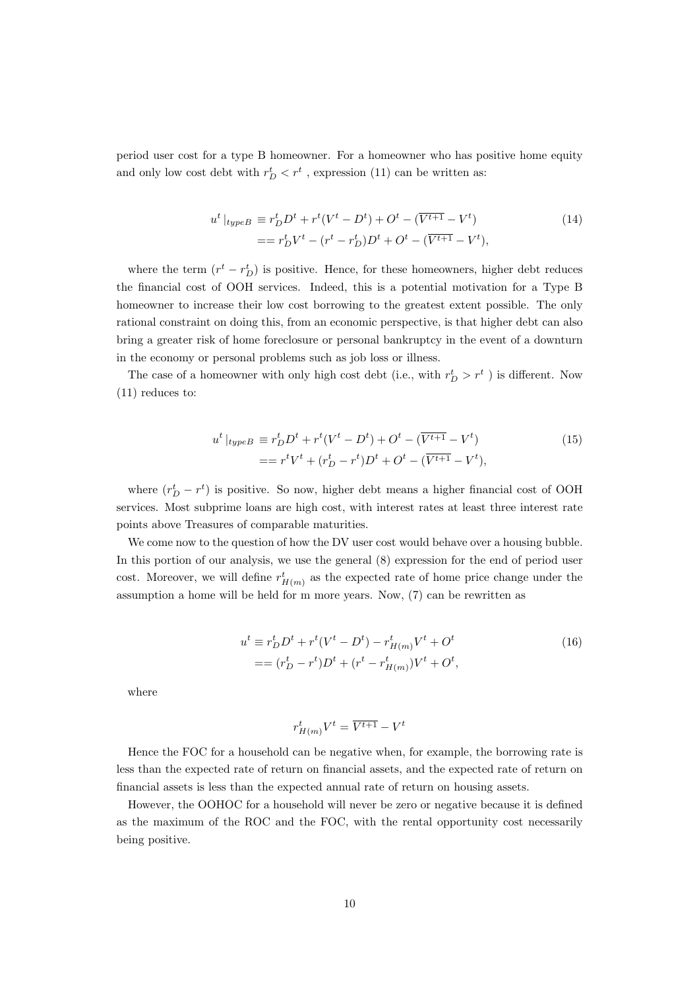period user cost for a type B homeowner. For a homeowner who has positive home equity and only low cost debt with  $r_D^t < r^t$ , expression (11) can be written as:

$$
u^{t}|_{typeB} \equiv r_{D}^{t}D^{t} + r^{t}(V^{t} - D^{t}) + O^{t} - (\overline{V^{t+1}} - V^{t})
$$
  
= 
$$
r_{D}^{t}V^{t} - (r^{t} - r_{D}^{t})D^{t} + O^{t} - (\overline{V^{t+1}} - V^{t}),
$$
 (14)

where the term  $(r^t - r^t_D)$  is positive. Hence, for these homeowners, higher debt reduces the financial cost of OOH services. Indeed, this is a potential motivation for a Type B homeowner to increase their low cost borrowing to the greatest extent possible. The only rational constraint on doing this, from an economic perspective, is that higher debt can also bring a greater risk of home foreclosure or personal bankruptcy in the event of a downturn in the economy or personal problems such as job loss or illness.

The case of a homeowner with only high cost debt (i.e., with  $r_D^t > r^t$ ) is different. Now (11) reduces to:

$$
u^{t}|_{typeB} \equiv r_{D}^{t}D^{t} + r^{t}(V^{t} - D^{t}) + O^{t} - (\overline{V^{t+1}} - V^{t})
$$
  
= 
$$
r^{t}V^{t} + (r_{D}^{t} - r^{t})D^{t} + O^{t} - (\overline{V^{t+1}} - V^{t}),
$$
 (15)

where  $(r_D^t - r^t)$  is positive. So now, higher debt means a higher financial cost of OOH services. Most subprime loans are high cost, with interest rates at least three interest rate points above Treasures of comparable maturities.

We come now to the question of how the DV user cost would behave over a housing bubble. In this portion of our analysis, we use the general (8) expression for the end of period user cost. Moreover, we will define  $r^t_{H(m)}$  as the expected rate of home price change under the assumption a home will be held for m more years. Now, (7) can be rewritten as

$$
u^{t} \equiv r_{D}^{t} D^{t} + r^{t} (V^{t} - D^{t}) - r_{H(m)}^{t} V^{t} + O^{t}
$$
  
= 
$$
(r_{D}^{t} - r^{t}) D^{t} + (r^{t} - r_{H(m)}^{t}) V^{t} + O^{t},
$$
 (16)

where

$$
r_{H(m)}^t V^t = \overline{V^{t+1}} - V^t
$$

Hence the FOC for a household can be negative when, for example, the borrowing rate is less than the expected rate of return on financial assets, and the expected rate of return on financial assets is less than the expected annual rate of return on housing assets.

However, the OOHOC for a household will never be zero or negative because it is defined as the maximum of the ROC and the FOC, with the rental opportunity cost necessarily being positive.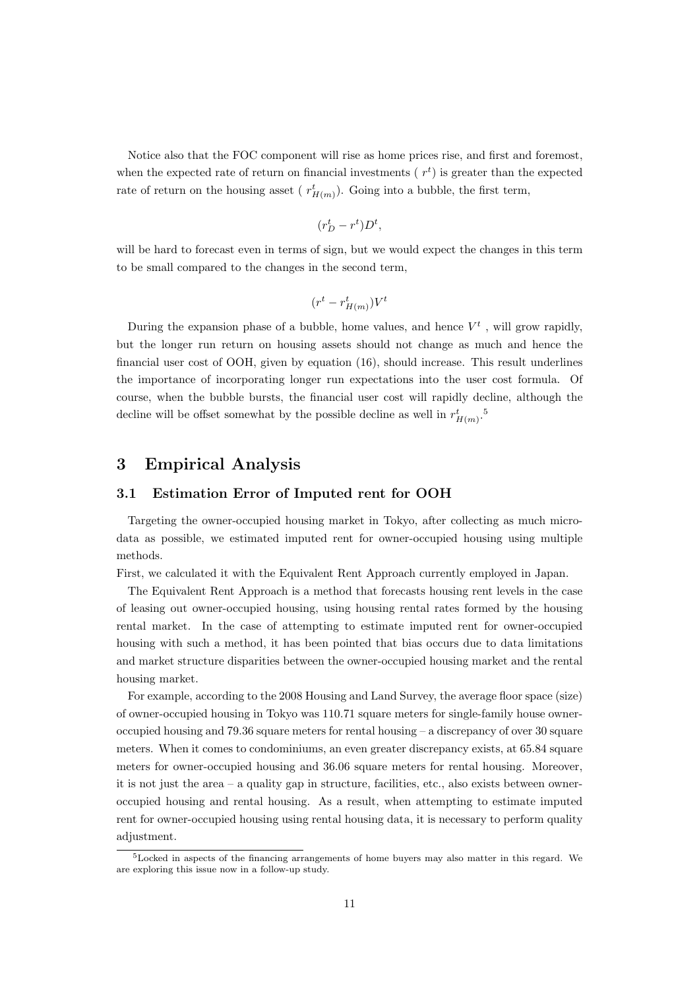Notice also that the FOC component will rise as home prices rise, and first and foremost, when the expected rate of return on financial investments  $(r<sup>t</sup>)$  is greater than the expected rate of return on the housing asset ( $r_{H(m)}^t$ ). Going into a bubble, the first term,

$$
(r_D^t - r^t)D^t,
$$

will be hard to forecast even in terms of sign, but we would expect the changes in this term to be small compared to the changes in the second term,

$$
\big(r^t - r^t_{H(m)}\big) V^t
$$

During the expansion phase of a bubble, home values, and hence  $V^t$ , will grow rapidly, but the longer run return on housing assets should not change as much and hence the financial user cost of OOH, given by equation (16), should increase. This result underlines the importance of incorporating longer run expectations into the user cost formula. Of course, when the bubble bursts, the financial user cost will rapidly decline, although the decline will be offset somewhat by the possible decline as well in  $r^t_{H(m)}$ .<sup>5</sup>

# **3 Empirical Analysis**

#### **3.1 Estimation Error of Imputed rent for OOH**

Targeting the owner-occupied housing market in Tokyo, after collecting as much microdata as possible, we estimated imputed rent for owner-occupied housing using multiple methods.

First, we calculated it with the Equivalent Rent Approach currently employed in Japan.

The Equivalent Rent Approach is a method that forecasts housing rent levels in the case of leasing out owner-occupied housing, using housing rental rates formed by the housing rental market. In the case of attempting to estimate imputed rent for owner-occupied housing with such a method, it has been pointed that bias occurs due to data limitations and market structure disparities between the owner-occupied housing market and the rental housing market.

For example, according to the 2008 Housing and Land Survey, the average floor space (size) of owner-occupied housing in Tokyo was 110.71 square meters for single-family house owneroccupied housing and 79.36 square meters for rental housing – a discrepancy of over 30 square meters. When it comes to condominiums, an even greater discrepancy exists, at 65.84 square meters for owner-occupied housing and 36.06 square meters for rental housing. Moreover, it is not just the area – a quality gap in structure, facilities, etc., also exists between owneroccupied housing and rental housing. As a result, when attempting to estimate imputed rent for owner-occupied housing using rental housing data, it is necessary to perform quality adjustment.

 $5$ Locked in aspects of the financing arrangements of home buyers may also matter in this regard. We are exploring this issue now in a follow-up study.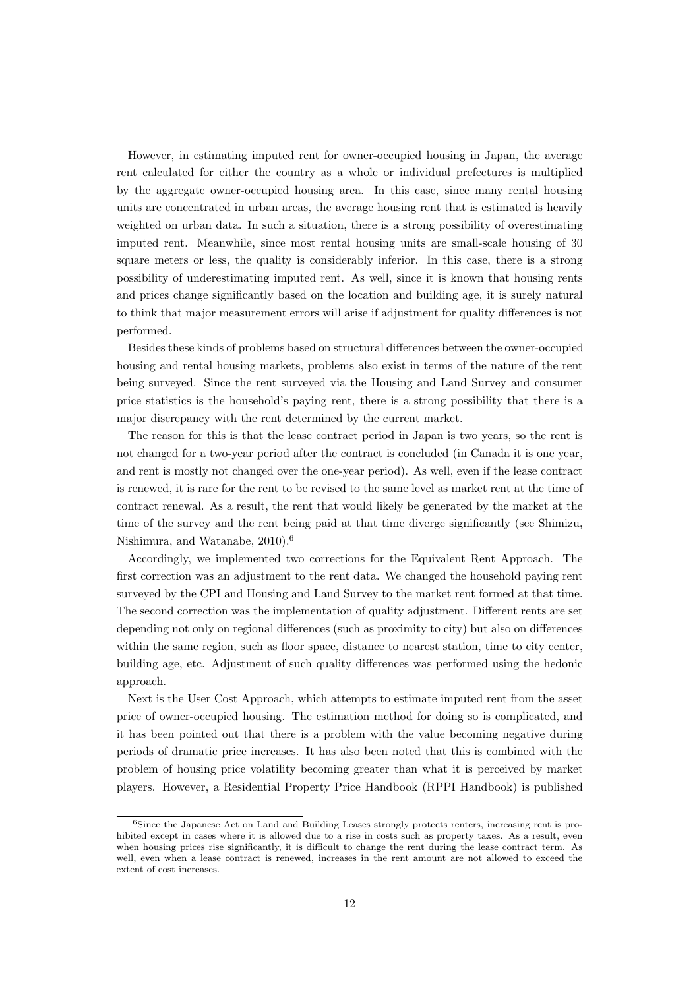However, in estimating imputed rent for owner-occupied housing in Japan, the average rent calculated for either the country as a whole or individual prefectures is multiplied by the aggregate owner-occupied housing area. In this case, since many rental housing units are concentrated in urban areas, the average housing rent that is estimated is heavily weighted on urban data. In such a situation, there is a strong possibility of overestimating imputed rent. Meanwhile, since most rental housing units are small-scale housing of 30 square meters or less, the quality is considerably inferior. In this case, there is a strong possibility of underestimating imputed rent. As well, since it is known that housing rents and prices change significantly based on the location and building age, it is surely natural to think that major measurement errors will arise if adjustment for quality differences is not performed.

Besides these kinds of problems based on structural differences between the owner-occupied housing and rental housing markets, problems also exist in terms of the nature of the rent being surveyed. Since the rent surveyed via the Housing and Land Survey and consumer price statistics is the household's paying rent, there is a strong possibility that there is a major discrepancy with the rent determined by the current market.

The reason for this is that the lease contract period in Japan is two years, so the rent is not changed for a two-year period after the contract is concluded (in Canada it is one year, and rent is mostly not changed over the one-year period). As well, even if the lease contract is renewed, it is rare for the rent to be revised to the same level as market rent at the time of contract renewal. As a result, the rent that would likely be generated by the market at the time of the survey and the rent being paid at that time diverge significantly (see Shimizu, Nishimura, and Watanabe, 2010).<sup>6</sup>

Accordingly, we implemented two corrections for the Equivalent Rent Approach. The first correction was an adjustment to the rent data. We changed the household paying rent surveyed by the CPI and Housing and Land Survey to the market rent formed at that time. The second correction was the implementation of quality adjustment. Different rents are set depending not only on regional differences (such as proximity to city) but also on differences within the same region, such as floor space, distance to nearest station, time to city center, building age, etc. Adjustment of such quality differences was performed using the hedonic approach.

Next is the User Cost Approach, which attempts to estimate imputed rent from the asset price of owner-occupied housing. The estimation method for doing so is complicated, and it has been pointed out that there is a problem with the value becoming negative during periods of dramatic price increases. It has also been noted that this is combined with the problem of housing price volatility becoming greater than what it is perceived by market players. However, a Residential Property Price Handbook (RPPI Handbook) is published

<sup>6</sup>Since the Japanese Act on Land and Building Leases strongly protects renters, increasing rent is prohibited except in cases where it is allowed due to a rise in costs such as property taxes. As a result, even when housing prices rise significantly, it is difficult to change the rent during the lease contract term. As well, even when a lease contract is renewed, increases in the rent amount are not allowed to exceed the extent of cost increases.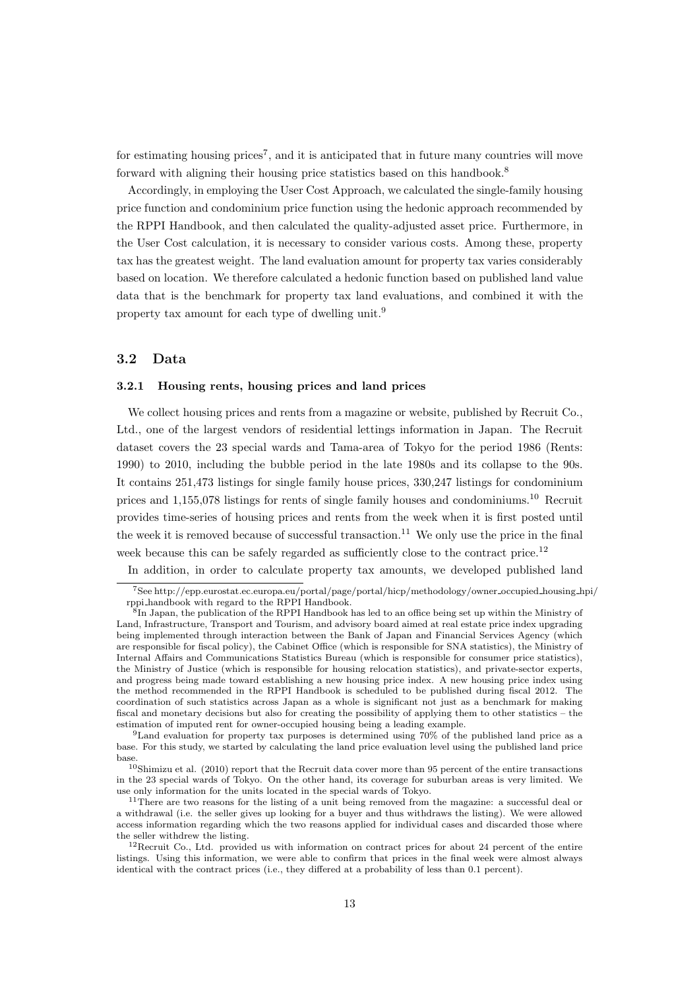for estimating housing prices<sup>7</sup>, and it is anticipated that in future many countries will move forward with aligning their housing price statistics based on this handbook.<sup>8</sup>

Accordingly, in employing the User Cost Approach, we calculated the single-family housing price function and condominium price function using the hedonic approach recommended by the RPPI Handbook, and then calculated the quality-adjusted asset price. Furthermore, in the User Cost calculation, it is necessary to consider various costs. Among these, property tax has the greatest weight. The land evaluation amount for property tax varies considerably based on location. We therefore calculated a hedonic function based on published land value data that is the benchmark for property tax land evaluations, and combined it with the property tax amount for each type of dwelling unit.<sup>9</sup>

#### **3.2 Data**

#### **3.2.1 Housing rents, housing prices and land prices**

We collect housing prices and rents from a magazine or website, published by Recruit Co., Ltd., one of the largest vendors of residential lettings information in Japan. The Recruit dataset covers the 23 special wards and Tama-area of Tokyo for the period 1986 (Rents: 1990) to 2010, including the bubble period in the late 1980s and its collapse to the 90s. It contains 251,473 listings for single family house prices, 330,247 listings for condominium prices and 1,155,078 listings for rents of single family houses and condominiums.<sup>10</sup> Recruit provides time-series of housing prices and rents from the week when it is first posted until the week it is removed because of successful transaction.<sup>11</sup> We only use the price in the final week because this can be safely regarded as sufficiently close to the contract price.<sup>12</sup>

In addition, in order to calculate property tax amounts, we developed published land

<sup>7</sup>See http://epp.eurostat.ec.europa.eu/portal/page/portal/hicp/methodology/owner occupied housing hpi/ rppi handbook with regard to the RPPI Handbook.

<sup>&</sup>lt;sup>8</sup>In Japan, the publication of the RPPI Handbook has led to an office being set up within the Ministry of Land, Infrastructure, Transport and Tourism, and advisory board aimed at real estate price index upgrading being implemented through interaction between the Bank of Japan and Financial Services Agency (which are responsible for fiscal policy), the Cabinet Office (which is responsible for SNA statistics), the Ministry of Internal Affairs and Communications Statistics Bureau (which is responsible for consumer price statistics), the Ministry of Justice (which is responsible for housing relocation statistics), and private-sector experts, and progress being made toward establishing a new housing price index. A new housing price index using the method recommended in the RPPI Handbook is scheduled to be published during fiscal 2012. The coordination of such statistics across Japan as a whole is significant not just as a benchmark for making fiscal and monetary decisions but also for creating the possibility of applying them to other statistics – the estimation of imputed rent for owner-occupied housing being a leading example.

<sup>9</sup>Land evaluation for property tax purposes is determined using 70% of the published land price as a base. For this study, we started by calculating the land price evaluation level using the published land price base.

 $10$ Shimizu et al. (2010) report that the Recruit data cover more than 95 percent of the entire transactions in the 23 special wards of Tokyo. On the other hand, its coverage for suburban areas is very limited. We use only information for the units located in the special wards of Tokyo.

<sup>&</sup>lt;sup>11</sup>There are two reasons for the listing of a unit being removed from the magazine: a successful deal or a withdrawal (i.e. the seller gives up looking for a buyer and thus withdraws the listing). We were allowed access information regarding which the two reasons applied for individual cases and discarded those where the seller withdrew the listing.

<sup>12</sup>Recruit Co., Ltd. provided us with information on contract prices for about 24 percent of the entire listings. Using this information, we were able to confirm that prices in the final week were almost always identical with the contract prices (i.e., they differed at a probability of less than 0.1 percent).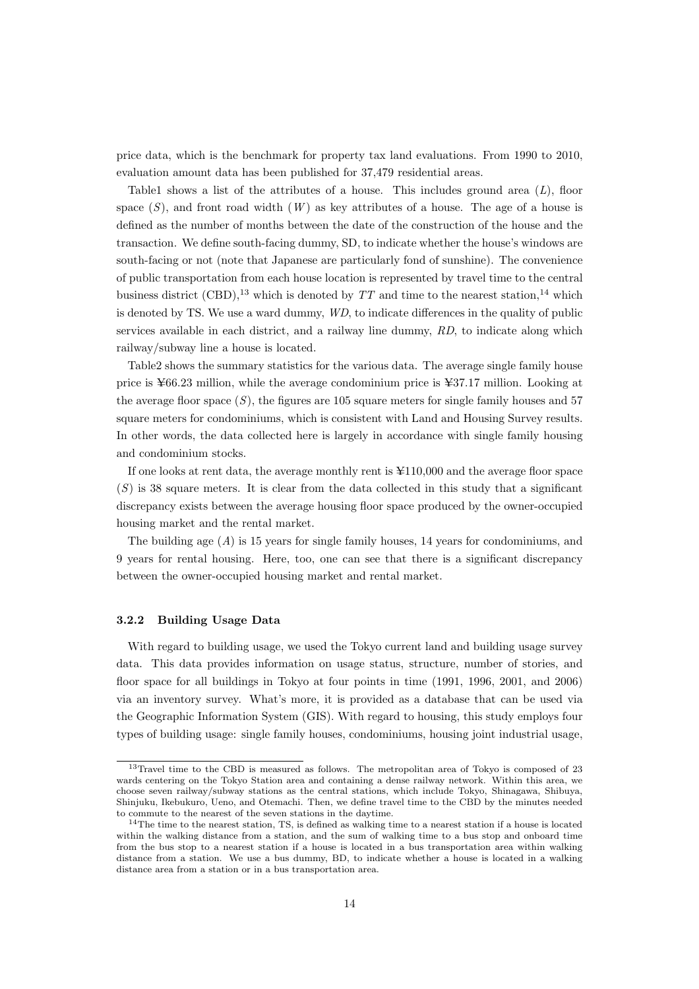price data, which is the benchmark for property tax land evaluations. From 1990 to 2010, evaluation amount data has been published for 37,479 residential areas.

Table1 shows a list of the attributes of a house. This includes ground area (*L*), floor space  $(S)$ , and front road width  $(W)$  as key attributes of a house. The age of a house is defined as the number of months between the date of the construction of the house and the transaction. We define south-facing dummy, SD, to indicate whether the house's windows are south-facing or not (note that Japanese are particularly fond of sunshine). The convenience of public transportation from each house location is represented by travel time to the central business district (CBD),<sup>13</sup> which is denoted by  $TT$  and time to the nearest station,<sup>14</sup> which is denoted by TS. We use a ward dummy, *WD*, to indicate differences in the quality of public services available in each district, and a railway line dummy, *RD*, to indicate along which railway/subway line a house is located.

Table2 shows the summary statistics for the various data. The average single family house price is  $\yen 66.23$  million, while the average condominium price is  $\yen 37.17$  million. Looking at the average floor space  $(S)$ , the figures are 105 square meters for single family houses and 57 square meters for condominiums, which is consistent with Land and Housing Survey results. In other words, the data collected here is largely in accordance with single family housing and condominium stocks.

If one looks at rent data, the average monthly rent is  $\text{\textless}110,000$  and the average floor space (*S*) is 38 square meters. It is clear from the data collected in this study that a significant discrepancy exists between the average housing floor space produced by the owner-occupied housing market and the rental market.

The building age (*A*) is 15 years for single family houses, 14 years for condominiums, and 9 years for rental housing. Here, too, one can see that there is a significant discrepancy between the owner-occupied housing market and rental market.

#### **3.2.2 Building Usage Data**

With regard to building usage, we used the Tokyo current land and building usage survey data. This data provides information on usage status, structure, number of stories, and floor space for all buildings in Tokyo at four points in time (1991, 1996, 2001, and 2006) via an inventory survey. What's more, it is provided as a database that can be used via the Geographic Information System (GIS). With regard to housing, this study employs four types of building usage: single family houses, condominiums, housing joint industrial usage,

<sup>&</sup>lt;sup>13</sup>Travel time to the CBD is measured as follows. The metropolitan area of Tokyo is composed of 23 wards centering on the Tokyo Station area and containing a dense railway network. Within this area, we choose seven railway/subway stations as the central stations, which include Tokyo, Shinagawa, Shibuya, Shinjuku, Ikebukuro, Ueno, and Otemachi. Then, we define travel time to the CBD by the minutes needed to commute to the nearest of the seven stations in the daytime.

<sup>&</sup>lt;sup>14</sup>The time to the nearest station, TS, is defined as walking time to a nearest station if a house is located within the walking distance from a station, and the sum of walking time to a bus stop and onboard time from the bus stop to a nearest station if a house is located in a bus transportation area within walking distance from a station. We use a bus dummy, BD, to indicate whether a house is located in a walking distance area from a station or in a bus transportation area.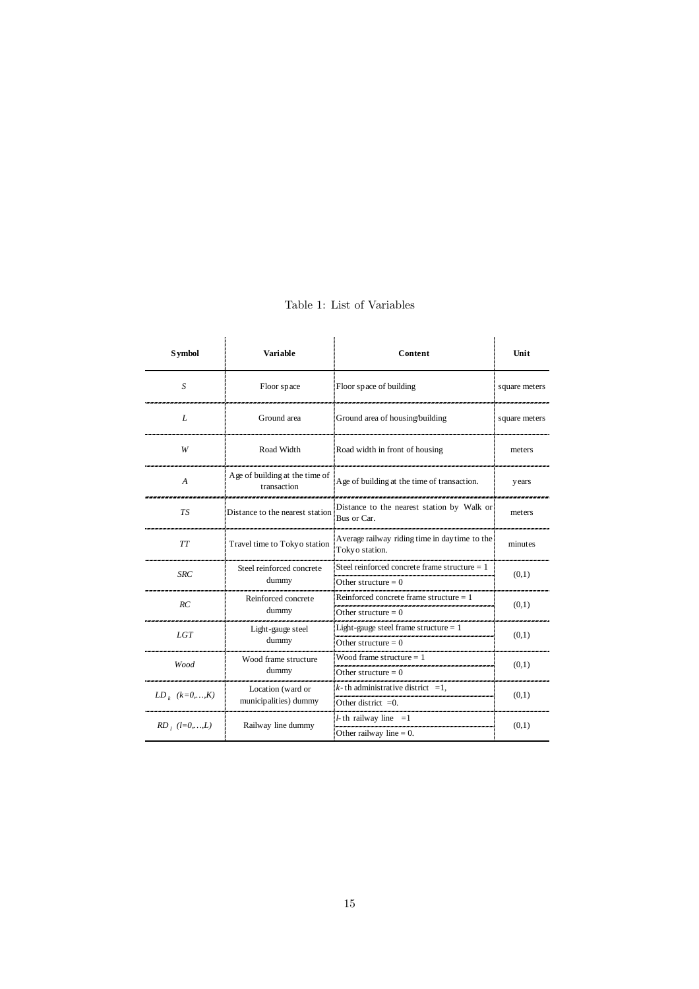| <b>Symbol</b>     | <b>Variable</b>                               | Content                                                          | Unit          |
|-------------------|-----------------------------------------------|------------------------------------------------------------------|---------------|
| S                 | Floor space                                   | Floor space of building                                          | square meters |
| L                 | Ground area                                   | Ground area of housing/building                                  | square meters |
| W                 | Road Width                                    | Road width in front of housing                                   | meters        |
| A                 | Age of building at the time of<br>transaction | Age of building at the time of transaction.                      | years         |
| <b>TS</b>         | Distance to the nearest station               | Distance to the nearest station by Walk or<br>Bus or Car.        | meters        |
| TT                | Travel time to Tokyo station                  | Average railway riding time in day time to the<br>Tokyo station. | minutes       |
| <b>SRC</b>        | Steel reinforced concrete                     | Steel reinforced concrete frame structure $= 1$                  | (0,1)         |
|                   | dummy                                         | Other structure = $0$                                            |               |
| RC                | Reinforced concrete                           | Reinforced concrete frame structure $= 1$                        | (0,1)         |
|                   | dummy                                         | Other structure = $0$                                            |               |
| LGT               | Light-gauge steel                             | Light-gauge steel frame structure $= 1$                          | (0,1)         |
|                   | dummy                                         | Other structure = $0$                                            |               |
| Wood              | Wood frame structure                          | Wood frame structure $= 1$                                       | (0,1)         |
|                   | dummy                                         | Other structure = $0$                                            |               |
| $LD_k (k=0,,K)$   | Location (ward or                             | $k$ -th administrative district = 1,                             | (0,1)         |
|                   | municipalities) dummy                         | Other district $=0$ .                                            |               |
| $RD$ , $(l=0,,L)$ | Railway line dummy                            | <i>l</i> -th railway line $=1$                                   | (0,1)         |
|                   |                                               | Other railway line $= 0$ .                                       |               |

## Table 1: List of Variables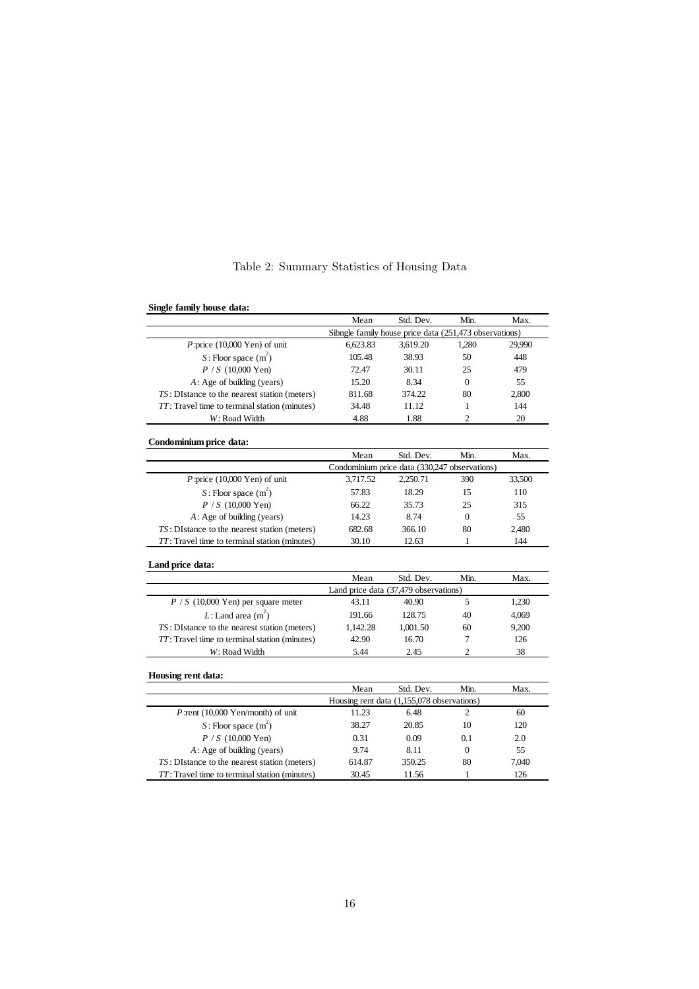| Table 2: Summary Statistics of Housing Data |  |  |  |  |  |
|---------------------------------------------|--|--|--|--|--|
|---------------------------------------------|--|--|--|--|--|

## **Single family house data:**

|                                                  | Mean                                                   | Std. Dev. | Min.  | Max.   |
|--------------------------------------------------|--------------------------------------------------------|-----------|-------|--------|
|                                                  | Sibngle family house price data (251,473 observations) |           |       |        |
| P price $(10,000 \text{ Yen})$ of unit           | 6,623.83                                               | 3,619.20  | 1,280 | 29,990 |
| $S:$ Floor space $(m^2)$                         | 105.48                                                 | 38.93     | 50    | 448    |
| $P / S$ (10,000 Yen)                             | 72.47                                                  | 30.11     | 25    | 479    |
| $A:$ Age of building (years)                     | 15.20                                                  | 8.34      | 0     | 55     |
| TS: DIstance to the nearest station (meters)     | 811.68                                                 | 374.22    | 80    | 2,800  |
| $TT$ : Travel time to terminal station (minutes) | 34.48                                                  | 11.12     |       | 144    |
| W: Road Width                                    | 4.88                                                   | 1.88      |       | 20     |

## **Condominium price data:**

|                                                  | Mean                                          | Std. Dev. | Min. | Max.   |
|--------------------------------------------------|-----------------------------------------------|-----------|------|--------|
|                                                  | Condominium price data (330,247 observations) |           |      |        |
| P price $(10,000 \text{ Yen})$ of unit           | 3.717.52                                      | 2.250.71  | 390  | 33,500 |
| $S:$ Floor space $(m^2)$                         | 57.83                                         | 18.29     | 15   | 110    |
| $P / S$ (10,000 Yen)                             | 66.22                                         | 35.73     | 25   | 315    |
| $A:$ Age of building (years)                     | 14.23                                         | 8.74      | 0    | 55     |
| TS: DIstance to the nearest station (meters)     | 682.68                                        | 366.10    | 80   | 2,480  |
| $TT$ : Travel time to terminal station (minutes) | 30.10                                         | 12.63     |      | 144    |

## **Land price data:**

|                                                  | Mean                                  | Std. Dev. | Min. | Max.  |
|--------------------------------------------------|---------------------------------------|-----------|------|-------|
|                                                  | Land price data (37,479 observations) |           |      |       |
| $P / S$ (10,000 Yen) per square meter            | 43.11                                 | 40.90     |      | 1,230 |
| L: Land area $(m2)$                              | 191.66                                | 128.75    | 40   | 4,069 |
| $TS:$ DIstance to the nearest station (meters)   | 1.142.28                              | 1.001.50  | 60   | 9,200 |
| $TT$ : Travel time to terminal station (minutes) | 42.90                                 | 16.70     |      | 126   |
| $W:$ Road Width                                  | 5.44                                  | 2.45      |      | 38    |

## **Housing rent data:**

|                                                  | Mean   | Std. Dev.                                  | Min. | Max.  |
|--------------------------------------------------|--------|--------------------------------------------|------|-------|
|                                                  |        | Housing rent data (1,155,078 observations) |      |       |
| P rent $(10,000 \text{ Yen/month})$ of unit      | 11.23  | 6.48                                       |      | 60    |
| $S:$ Floor space $(m^2)$                         | 38.27  | 20.85                                      | 10   | 120   |
| $P / S$ (10,000 Yen)                             | 0.31   | 0.09                                       | 0.1  | 2.0   |
| $A:$ Age of building (years)                     | 9.74   | 8.11                                       |      | 55    |
| TS: DIstance to the nearest station (meters)     | 614.87 | 350.25                                     | 80   | 7.040 |
| $TT$ : Travel time to terminal station (minutes) | 30.45  | 11.56                                      |      | 126   |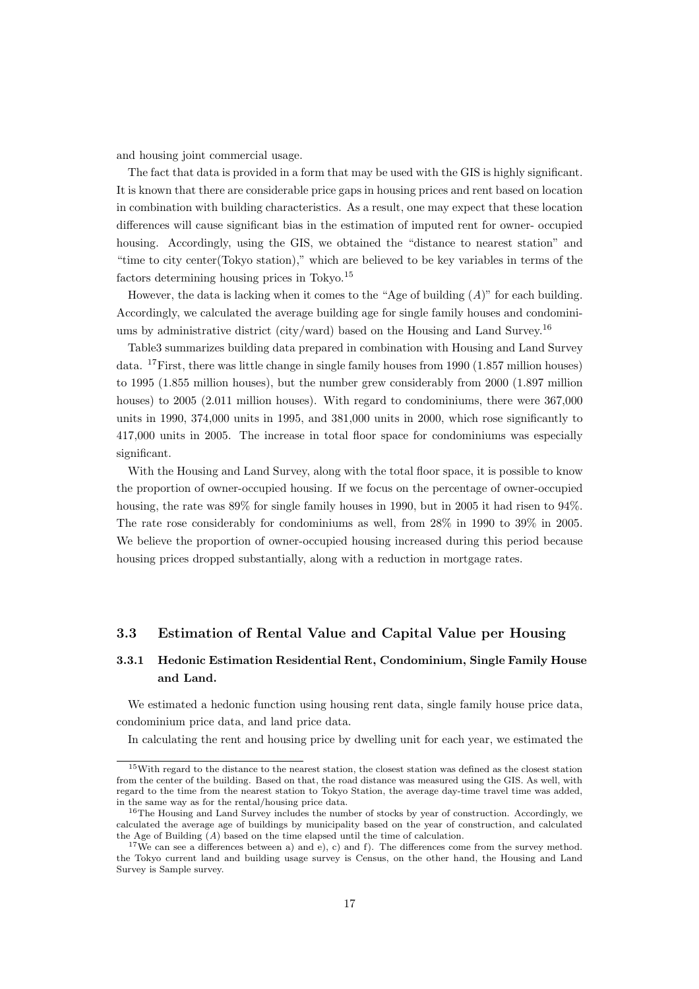and housing joint commercial usage.

The fact that data is provided in a form that may be used with the GIS is highly significant. It is known that there are considerable price gaps in housing prices and rent based on location in combination with building characteristics. As a result, one may expect that these location differences will cause significant bias in the estimation of imputed rent for owner- occupied housing. Accordingly, using the GIS, we obtained the "distance to nearest station" and "time to city center(Tokyo station)," which are believed to be key variables in terms of the factors determining housing prices in Tokyo.<sup>15</sup>

However, the data is lacking when it comes to the "Age of building (*A*)" for each building. Accordingly, we calculated the average building age for single family houses and condominiums by administrative district (city/ward) based on the Housing and Land Survey.<sup>16</sup>

Table3 summarizes building data prepared in combination with Housing and Land Survey data.  $17$ First, there was little change in single family houses from 1990 (1.857 million houses) to 1995 (1.855 million houses), but the number grew considerably from 2000 (1.897 million houses) to 2005 (2.011 million houses). With regard to condominiums, there were  $367,000$ units in 1990, 374,000 units in 1995, and 381,000 units in 2000, which rose significantly to 417,000 units in 2005. The increase in total floor space for condominiums was especially significant.

With the Housing and Land Survey, along with the total floor space, it is possible to know the proportion of owner-occupied housing. If we focus on the percentage of owner-occupied housing, the rate was  $89\%$  for single family houses in 1990, but in 2005 it had risen to 94%. The rate rose considerably for condominiums as well, from 28% in 1990 to 39% in 2005. We believe the proportion of owner-occupied housing increased during this period because housing prices dropped substantially, along with a reduction in mortgage rates.

#### **3.3 Estimation of Rental Value and Capital Value per Housing**

## **3.3.1 Hedonic Estimation Residential Rent, Condominium, Single Family House and Land.**

We estimated a hedonic function using housing rent data, single family house price data, condominium price data, and land price data.

In calculating the rent and housing price by dwelling unit for each year, we estimated the

<sup>15</sup>With regard to the distance to the nearest station, the closest station was defined as the closest station from the center of the building. Based on that, the road distance was measured using the GIS. As well, with regard to the time from the nearest station to Tokyo Station, the average day-time travel time was added, in the same way as for the rental/housing price data.

<sup>&</sup>lt;sup>16</sup>The Housing and Land Survey includes the number of stocks by year of construction. Accordingly, we calculated the average age of buildings by municipality based on the year of construction, and calculated the Age of Building (*A*) based on the time elapsed until the time of calculation.

<sup>&</sup>lt;sup>17</sup>We can see a differences between a) and e), c) and f). The differences come from the survey method. the Tokyo current land and building usage survey is Census, on the other hand, the Housing and Land Survey is Sample survey.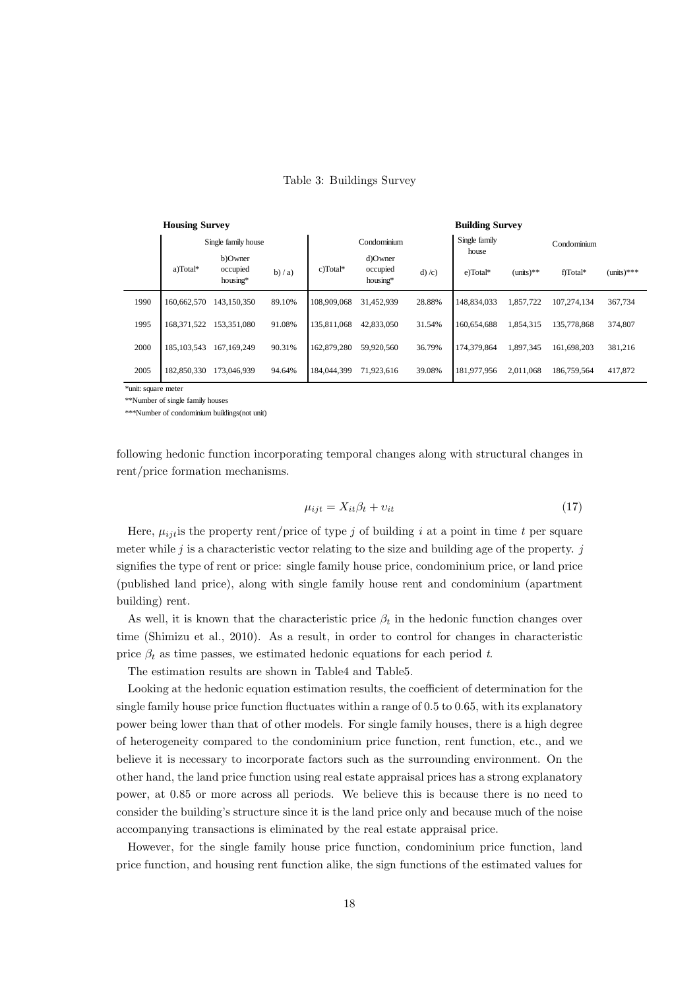|      | <b>Housing Survey</b> |                                   |        | <b>Building Survey</b> |                                   |          |                        |             |             |              |  |
|------|-----------------------|-----------------------------------|--------|------------------------|-----------------------------------|----------|------------------------|-------------|-------------|--------------|--|
|      |                       | Single family house               |        |                        | Condominium                       |          | Single family<br>house |             | Condominium |              |  |
|      | a)Total*              | b)Owner<br>occupied<br>$housing*$ | b)/a)  | $c)$ Total*            | d)Owner<br>occupied<br>$housing*$ | $d)$ /c) | $e)Total*$             | $(mits)$ ** | f)Total*    | $(mits)$ *** |  |
| 1990 | 160,662,570           | 143.150.350                       | 89.10% | 108,909,068            | 31.452.939                        | 28.88%   | 148,834,033            | 1.857.722   | 107.274.134 | 367,734      |  |
| 1995 | 168.371.522           | 153,351,080                       | 91.08% | 135,811,068            | 42,833,050                        | 31.54%   | 160,654,688            | 1.854.315   | 135,778,868 | 374,807      |  |
| 2000 | 185, 103, 543         | 167.169.249                       | 90.31% | 162,879,280            | 59,920,560                        | 36.79%   | 174,379,864            | 1,897,345   | 161,698,203 | 381,216      |  |
| 2005 | 182,850,330           | 173,046,939                       | 94.64% | 184,044,399            | 71.923.616                        | 39.08%   | 181,977,956            | 2.011.068   | 186,759,564 | 417,872      |  |

#### Table 3: Buildings Survey

\*unit: square meter

\*\*Number of single family houses

\*\*\*Number of condominium buildings(not unit)

following hedonic function incorporating temporal changes along with structural changes in rent/price formation mechanisms.

$$
\mu_{ijt} = X_{it}\beta_t + v_{it} \tag{17}
$$

Here,  $\mu_{ijt}$  is the property rent/price of type *j* of building *i* at a point in time *t* per square meter while *j* is a characteristic vector relating to the size and building age of the property. *j* signifies the type of rent or price: single family house price, condominium price, or land price (published land price), along with single family house rent and condominium (apartment building) rent.

As well, it is known that the characteristic price  $\beta_t$  in the hedonic function changes over time (Shimizu et al., 2010). As a result, in order to control for changes in characteristic price  $\beta_t$  as time passes, we estimated hedonic equations for each period *t*.

The estimation results are shown in Table4 and Table5.

Looking at the hedonic equation estimation results, the coefficient of determination for the single family house price function fluctuates within a range of 0.5 to 0.65, with its explanatory power being lower than that of other models. For single family houses, there is a high degree of heterogeneity compared to the condominium price function, rent function, etc., and we believe it is necessary to incorporate factors such as the surrounding environment. On the other hand, the land price function using real estate appraisal prices has a strong explanatory power, at 0.85 or more across all periods. We believe this is because there is no need to consider the building's structure since it is the land price only and because much of the noise accompanying transactions is eliminated by the real estate appraisal price.

However, for the single family house price function, condominium price function, land price function, and housing rent function alike, the sign functions of the estimated values for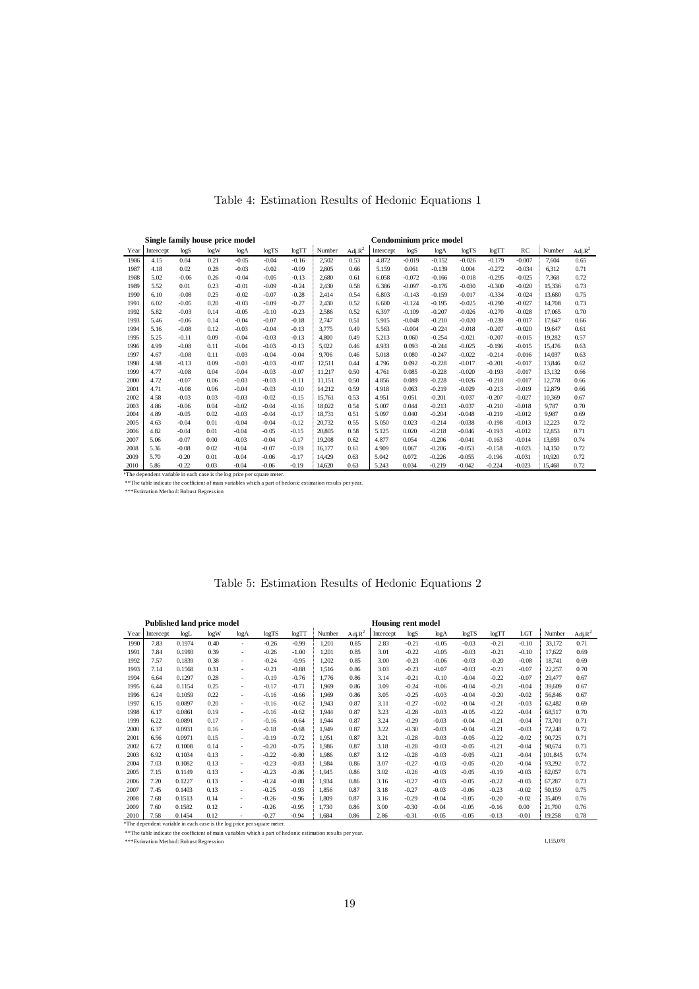|      |                                                                                                              |         | Single family house price model | Condominium price model |         |         |        |            |           |          |          |          |          |          |        |            |
|------|--------------------------------------------------------------------------------------------------------------|---------|---------------------------------|-------------------------|---------|---------|--------|------------|-----------|----------|----------|----------|----------|----------|--------|------------|
| Year | Intercept                                                                                                    | logS    | logW                            | logA                    | logTS   | logTT   | Number | Adj. $R^2$ | Intercept | logS     | logA     | logTS    | logTT    | RC       | Number | Adj. $R^2$ |
| 1986 | 4.15                                                                                                         | 0.04    | 0.21                            | $-0.05$                 | $-0.04$ | $-0.16$ | 2,502  | 0.53       | 4.872     | $-0.019$ | $-0.152$ | $-0.026$ | $-0.179$ | $-0.007$ | 7.604  | 0.65       |
| 1987 | 4.18                                                                                                         | 0.02    | 0.28                            | $-0.03$                 | $-0.02$ | $-0.09$ | 2,805  | 0.66       | 5.159     | 0.061    | $-0.139$ | 0.004    | $-0.272$ | $-0.034$ | 6.312  | 0.71       |
| 1988 | 5.02                                                                                                         | $-0.06$ | 0.26                            | $-0.04$                 | $-0.05$ | $-0.13$ | 2,680  | 0.61       | 6.058     | $-0.072$ | $-0.166$ | $-0.018$ | $-0.295$ | $-0.025$ | 7.368  | 0.72       |
| 1989 | 5.52                                                                                                         | 0.01    | 0.23                            | $-0.01$                 | $-0.09$ | $-0.24$ | 2,430  | 0.58       | 6.386     | $-0.097$ | $-0.176$ | $-0.030$ | $-0.300$ | $-0.020$ | 15.336 | 0.73       |
| 1990 | 6.10                                                                                                         | $-0.08$ | 0.25                            | $-0.02$                 | $-0.07$ | $-0.28$ | 2,414  | 0.54       | 6.803     | $-0.143$ | $-0.159$ | $-0.017$ | $-0.334$ | $-0.024$ | 13,680 | 0.75       |
| 1991 | 6.02                                                                                                         | $-0.05$ | 0.20                            | $-0.03$                 | $-0.09$ | $-0.27$ | 2.430  | 0.52       | 6.600     | $-0.124$ | $-0.195$ | $-0.025$ | $-0.290$ | $-0.027$ | 14,708 | 0.73       |
| 1992 | 5.82                                                                                                         | $-0.03$ | 0.14                            | $-0.05$                 | $-0.10$ | $-0.23$ | 2,586  | 0.52       | 6.397     | $-0.109$ | $-0.207$ | $-0.026$ | $-0.270$ | $-0.028$ | 17,065 | 0.70       |
| 1993 | 5.46                                                                                                         | $-0.06$ | 0.14                            | $-0.04$                 | $-0.07$ | $-0.18$ | 2.747  | 0.51       | 5.915     | $-0.048$ | $-0.210$ | $-0.020$ | $-0.239$ | $-0.017$ | 17.647 | 0.66       |
| 1994 | 5.16                                                                                                         | $-0.08$ | 0.12                            | $-0.03$                 | $-0.04$ | $-0.13$ | 3.775  | 0.49       | 5.563     | $-0.004$ | $-0.224$ | $-0.018$ | $-0.207$ | $-0.020$ | 19,647 | 0.61       |
| 1995 | 5.25                                                                                                         | $-0.11$ | 0.09                            | $-0.04$                 | $-0.03$ | $-0.13$ | 4,800  | 0.49       | 5.213     | 0.060    | $-0.254$ | $-0.021$ | $-0.207$ | $-0.015$ | 19,282 | 0.57       |
| 1996 | 4.99                                                                                                         | $-0.08$ | 0.11                            | $-0.04$                 | $-0.03$ | $-0.13$ | 5,022  | 0.46       | 4.933     | 0.093    | $-0.244$ | $-0.025$ | $-0.196$ | $-0.015$ | 15.476 | 0.63       |
| 1997 | 4.67                                                                                                         | $-0.08$ | 0.11                            | $-0.03$                 | $-0.04$ | $-0.04$ | 9.706  | 0.46       | 5.018     | 0.080    | $-0.247$ | $-0.022$ | $-0.214$ | $-0.016$ | 14,037 | 0.63       |
| 1998 | 4.98                                                                                                         | $-0.13$ | 0.09                            | $-0.03$                 | $-0.03$ | $-0.07$ | 12.511 | 0.44       | 4.796     | 0.092    | $-0.228$ | $-0.017$ | $-0.201$ | $-0.017$ | 13.846 | 0.62       |
| 1999 | 4.77                                                                                                         | $-0.08$ | 0.04                            | $-0.04$                 | $-0.03$ | $-0.07$ | 11,217 | 0.50       | 4.761     | 0.085    | $-0.228$ | $-0.020$ | $-0.193$ | $-0.017$ | 13,132 | 0.66       |
| 2000 | 4.72                                                                                                         | $-0.07$ | 0.06                            | $-0.03$                 | $-0.03$ | $-0.11$ | 11.151 | 0.50       | 4.856     | 0.089    | $-0.228$ | $-0.026$ | $-0.218$ | $-0.017$ | 12,778 | 0.66       |
| 2001 | 4.71                                                                                                         | $-0.08$ | 0.06                            | $-0.04$                 | $-0.03$ | $-0.10$ | 14.212 | 0.59       | 4.918     | 0.063    | $-0.219$ | $-0.029$ | $-0.213$ | $-0.019$ | 12,879 | 0.66       |
| 2002 | 4.58                                                                                                         | $-0.03$ | 0.03                            | $-0.03$                 | $-0.02$ | $-0.15$ | 15,761 | 0.53       | 4.951     | 0.051    | $-0.201$ | $-0.037$ | $-0.207$ | $-0.027$ | 10.369 | 0.67       |
| 2003 | 4.86                                                                                                         | $-0.06$ | 0.04                            | $-0.02$                 | $-0.04$ | $-0.16$ | 18,022 | 0.54       | 5.007     | 0.044    | $-0.213$ | $-0.037$ | $-0.210$ | $-0.018$ | 9.787  | 0.70       |
| 2004 | 4.89                                                                                                         | $-0.05$ | 0.02                            | $-0.03$                 | $-0.04$ | $-0.17$ | 18.731 | 0.51       | 5.097     | 0.040    | $-0.204$ | $-0.048$ | $-0.219$ | $-0.012$ | 9.987  | 0.69       |
| 2005 | 4.63                                                                                                         | $-0.04$ | 0.01                            | $-0.04$                 | $-0.04$ | $-0.12$ | 20.732 | 0.55       | 5.050     | 0.023    | $-0.214$ | $-0.038$ | $-0.198$ | $-0.013$ | 12.223 | 0.72       |
| 2006 | 4.82                                                                                                         | $-0.04$ | 0.01                            | $-0.04$                 | $-0.05$ | $-0.15$ | 20.805 | 0.58       | 5.125     | 0.020    | $-0.218$ | $-0.046$ | $-0.193$ | $-0.012$ | 12.853 | 0.71       |
| 2007 | 5.06                                                                                                         | $-0.07$ | 0.00                            | $-0.03$                 | $-0.04$ | $-0.17$ | 19.208 | 0.62       | 4.877     | 0.054    | $-0.206$ | $-0.041$ | $-0.163$ | $-0.014$ | 13.693 | 0.74       |
| 2008 | 5.36                                                                                                         | $-0.08$ | 0.02                            | $-0.04$                 | $-0.07$ | $-0.19$ | 16.177 | 0.61       | 4.909     | 0.067    | $-0.206$ | $-0.053$ | $-0.158$ | $-0.023$ | 14.150 | 0.72       |
| 2009 | 5.70                                                                                                         | $-0.20$ | 0.01                            | $-0.04$                 | $-0.06$ | $-0.17$ | 14.429 | 0.63       | 5.042     | 0.072    | $-0.226$ | $-0.055$ | $-0.196$ | $-0.031$ | 10.920 | 0.72       |
| 2010 | 5.86                                                                                                         | $-0.22$ | 0.03                            | $-0.04$                 | $-0.06$ | $-0.19$ | 14.620 | 0.63       | 5.243     | 0.034    | $-0.219$ | $-0.042$ | $-0.224$ | $-0.023$ | 15,468 | 0.72       |
|      | <sup>*</sup> The dependent variable in each case is the log price per square meter.                          |         |                                 |                         |         |         |        |            |           |          |          |          |          |          |        |            |
|      | ** The table indicate the coefficient of main variables which a part of hedonic estimation results per year. |         |                                 |                         |         |         |        |            |           |          |          |          |          |          |        |            |
|      | ***Estimation Method: Robust Regression                                                                      |         |                                 |                         |         |         |        |            |           |          |          |          |          |          |        |            |

# Table 4: Estimation Results of Hedonic Equations 1

|  | Table 5: Estimation Results of Hedonic Equations 2 |  |  |  |  |  |
|--|----------------------------------------------------|--|--|--|--|--|
|--|----------------------------------------------------|--|--|--|--|--|

| <b>Published land price model</b>                                       |                                         |        |      |                          |         |         |                                                                                                              |            | <b>Housing rent model</b> |         |         |         |         |         |           |            |
|-------------------------------------------------------------------------|-----------------------------------------|--------|------|--------------------------|---------|---------|--------------------------------------------------------------------------------------------------------------|------------|---------------------------|---------|---------|---------|---------|---------|-----------|------------|
| Year                                                                    | Intercept                               | logL   | logW | logA                     | logTS   | logTT   | Number                                                                                                       | Adj. $R^2$ | Intercept                 | logS    | logA    | logTS   | logTT   | LGT     | Number    | Adj. $R^2$ |
| 1990                                                                    | 7.83                                    | 0.1974 | 0.40 | ٠                        | $-0.26$ | $-0.99$ | 1.201                                                                                                        | 0.85       | 2.83                      | $-0.21$ | $-0.05$ | $-0.03$ | $-0.21$ | $-0.10$ | 33.172    | 0.71       |
| 1991                                                                    | 7.84                                    | 0.1993 | 0.39 | ٠                        | $-0.26$ | $-1.00$ | 1.201                                                                                                        | 0.85       | 3.01                      | $-0.22$ | $-0.05$ | $-0.03$ | $-0.21$ | $-0.10$ | 17.622    | 0.69       |
| 1992                                                                    | 7.57                                    | 0.1839 | 0.38 | $\overline{\phantom{a}}$ | $-0.24$ | $-0.95$ | 1.202                                                                                                        | 0.85       | 3.00                      | $-0.23$ | $-0.06$ | $-0.03$ | $-0.20$ | $-0.08$ | 18.741    | 0.69       |
| 1993                                                                    | 7.14                                    | 0.1568 | 0.31 | $\overline{\phantom{a}}$ | $-0.21$ | $-0.88$ | 1.516                                                                                                        | 0.86       | 3.03                      | $-0.23$ | $-0.07$ | $-0.03$ | $-0.21$ | $-0.07$ | 22.257    | 0.70       |
| 1994                                                                    | 6.64                                    | 0.1297 | 0.28 | $\overline{\phantom{a}}$ | $-0.19$ | $-0.76$ | 1.776                                                                                                        | 0.86       | 3.14                      | $-0.21$ | $-0.10$ | $-0.04$ | $-0.22$ | $-0.07$ | 29,477    | 0.67       |
| 1995                                                                    | 6.44                                    | 0.1154 | 0.25 | $\overline{\phantom{a}}$ | $-0.17$ | $-0.71$ | 1.969                                                                                                        | 0.86       | 3.09                      | $-0.24$ | $-0.06$ | $-0.04$ | $-0.21$ | $-0.04$ | 39,609    | 0.67       |
| 1996                                                                    | 6.24                                    | 0.1059 | 0.22 | $\overline{\phantom{a}}$ | $-0.16$ | $-0.66$ | 1.969                                                                                                        | 0.86       | 3.05                      | $-0.25$ | $-0.03$ | $-0.04$ | $-0.20$ | $-0.02$ | 56,846    | 0.67       |
| 1997                                                                    | 6.15                                    | 0.0897 | 0.20 | $\sim$                   | $-0.16$ | $-0.62$ | 1.943                                                                                                        | 0.87       | 3.11                      | $-0.27$ | $-0.02$ | $-0.04$ | $-0.21$ | $-0.03$ | 62.482    | 0.69       |
| 1998                                                                    | 6.17                                    | 0.0861 | 0.19 | $\overline{\phantom{a}}$ | $-0.16$ | $-0.62$ | 1.944                                                                                                        | 0.87       | 3.23                      | $-0.28$ | $-0.03$ | $-0.05$ | $-0.22$ | $-0.04$ | 68.517    | 0.70       |
| 1999                                                                    | 6.22                                    | 0.0891 | 0.17 | $\overline{\phantom{a}}$ | $-0.16$ | $-0.64$ | 1.944                                                                                                        | 0.87       | 3.24                      | $-0.29$ | $-0.03$ | $-0.04$ | $-0.21$ | $-0.04$ | 73,701    | 0.71       |
| 2000                                                                    | 6.37                                    | 0.0931 | 0.16 | $\overline{\phantom{a}}$ | $-0.18$ | $-0.68$ | 1.949                                                                                                        | 0.87       | 3.22                      | $-0.30$ | $-0.03$ | $-0.04$ | $-0.21$ | $-0.03$ | 72.248    | 0.72       |
| 2001                                                                    | 6.56                                    | 0.0971 | 0.15 | $\overline{\phantom{a}}$ | $-0.19$ | $-0.72$ | 1.951                                                                                                        | 0.87       | 3.21                      | $-0.28$ | $-0.03$ | $-0.05$ | $-0.22$ | $-0.02$ | 90.725    | 0.71       |
| 2002                                                                    | 6.72                                    | 0.1008 | 0.14 | $\overline{\phantom{a}}$ | $-0.20$ | $-0.75$ | 1.986                                                                                                        | 0.87       | 3.18                      | $-0.28$ | $-0.03$ | $-0.05$ | $-0.21$ | $-0.04$ | 98.674    | 0.73       |
| 2003                                                                    | 6.92                                    | 0.1034 | 0.13 | $\overline{\phantom{a}}$ | $-0.22$ | $-0.80$ | 1.986                                                                                                        | 0.87       | 3.12                      | $-0.28$ | $-0.03$ | $-0.05$ | $-0.21$ | $-0.04$ | 101.845   | 0.74       |
| 2004                                                                    | 7.03                                    | 0.1082 | 0.13 | $\overline{\phantom{a}}$ | $-0.23$ | $-0.83$ | 1.984                                                                                                        | 0.86       | 3.07                      | $-0.27$ | $-0.03$ | $-0.05$ | $-0.20$ | $-0.04$ | 93.292    | 0.72       |
| 2005                                                                    | 7.15                                    | 0.1149 | 0.13 | $\overline{\phantom{a}}$ | $-0.23$ | $-0.86$ | 1.945                                                                                                        | 0.86       | 3.02                      | $-0.26$ | $-0.03$ | $-0.05$ | $-0.19$ | $-0.03$ | 82,057    | 0.71       |
| 2006                                                                    | 7.20                                    | 0.1227 | 0.13 | $\overline{\phantom{a}}$ | $-0.24$ | $-0.88$ | 1.934                                                                                                        | 0.86       | 3.16                      | $-0.27$ | $-0.03$ | $-0.05$ | $-0.22$ | $-0.03$ | 67.287    | 0.73       |
| 2007                                                                    | 7.45                                    | 0.1403 | 0.13 | $\overline{\phantom{a}}$ | $-0.25$ | $-0.93$ | 1.856                                                                                                        | 0.87       | 3.18                      | $-0.27$ | $-0.03$ | $-0.06$ | $-0.23$ | $-0.02$ | 50.159    | 0.75       |
| 2008                                                                    | 7.68                                    | 0.1513 | 0.14 | $\overline{\phantom{a}}$ | $-0.26$ | $-0.96$ | 1.809                                                                                                        | 0.87       | 3.16                      | $-0.29$ | $-0.04$ | $-0.05$ | $-0.20$ | $-0.02$ | 35,409    | 0.76       |
| 2009                                                                    | 7.60                                    | 0.1582 | 0.12 | $\overline{\phantom{a}}$ | $-0.26$ | $-0.95$ | 1.730                                                                                                        | 0.86       | 3.00                      | $-0.30$ | $-0.04$ | $-0.05$ | $-0.16$ | 0.00    | 21.700    | 0.76       |
| 2010                                                                    | 7.58                                    | 0.1454 | 0.12 | ٠                        | $-0.27$ | $-0.94$ | 1.684                                                                                                        | 0.86       | 2.86                      | $-0.31$ | $-0.05$ | $-0.05$ | $-0.13$ | $-0.01$ | 19,258    | 0.78       |
| *The dependent variable in each case is the log price per square meter. |                                         |        |      |                          |         |         |                                                                                                              |            |                           |         |         |         |         |         |           |            |
|                                                                         |                                         |        |      |                          |         |         | ** The table indicate the coefficient of main variables which a part of hedonic estimation results per year. |            |                           |         |         |         |         |         |           |            |
|                                                                         | ***Estimation Method: Robust Regression |        |      |                          |         |         |                                                                                                              |            |                           |         |         |         |         |         | 1.155,078 |            |

1,155,078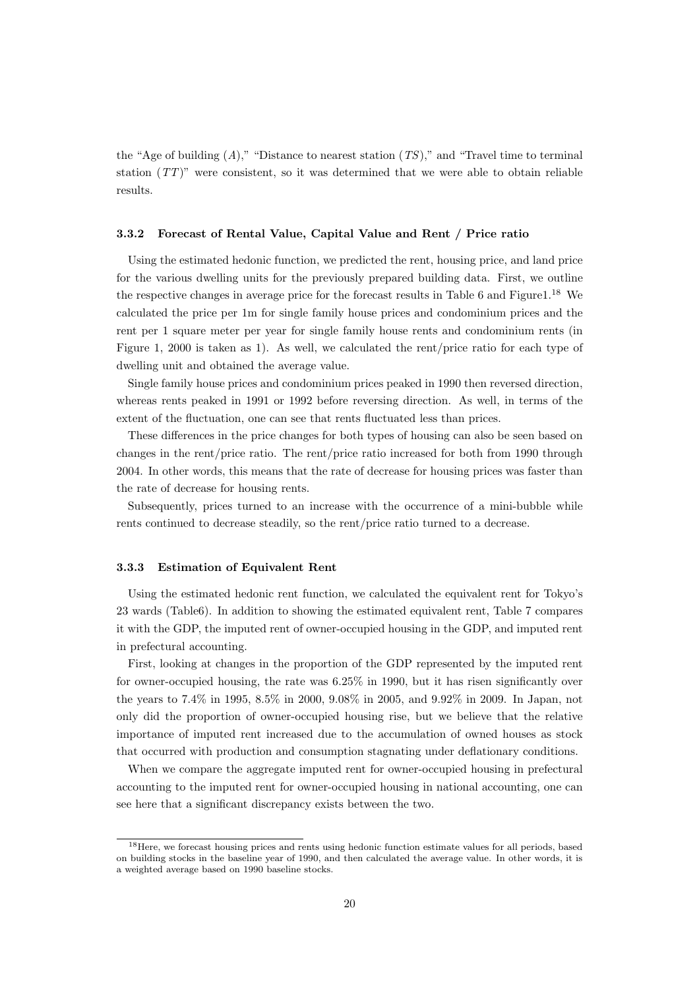the "Age of building (*A*)," "Distance to nearest station (*TS*)," and "Travel time to terminal station (*TT*)" were consistent, so it was determined that we were able to obtain reliable results.

#### **3.3.2 Forecast of Rental Value, Capital Value and Rent / Price ratio**

Using the estimated hedonic function, we predicted the rent, housing price, and land price for the various dwelling units for the previously prepared building data. First, we outline the respective changes in average price for the forecast results in Table 6 and Figure1.<sup>18</sup> We calculated the price per 1m for single family house prices and condominium prices and the rent per 1 square meter per year for single family house rents and condominium rents (in Figure 1, 2000 is taken as 1). As well, we calculated the rent/price ratio for each type of dwelling unit and obtained the average value.

Single family house prices and condominium prices peaked in 1990 then reversed direction, whereas rents peaked in 1991 or 1992 before reversing direction. As well, in terms of the extent of the fluctuation, one can see that rents fluctuated less than prices.

These differences in the price changes for both types of housing can also be seen based on changes in the rent/price ratio. The rent/price ratio increased for both from 1990 through 2004. In other words, this means that the rate of decrease for housing prices was faster than the rate of decrease for housing rents.

Subsequently, prices turned to an increase with the occurrence of a mini-bubble while rents continued to decrease steadily, so the rent/price ratio turned to a decrease.

#### **3.3.3 Estimation of Equivalent Rent**

Using the estimated hedonic rent function, we calculated the equivalent rent for Tokyo's 23 wards (Table6). In addition to showing the estimated equivalent rent, Table 7 compares it with the GDP, the imputed rent of owner-occupied housing in the GDP, and imputed rent in prefectural accounting.

First, looking at changes in the proportion of the GDP represented by the imputed rent for owner-occupied housing, the rate was 6.25% in 1990, but it has risen significantly over the years to 7.4% in 1995, 8.5% in 2000, 9.08% in 2005, and 9.92% in 2009. In Japan, not only did the proportion of owner-occupied housing rise, but we believe that the relative importance of imputed rent increased due to the accumulation of owned houses as stock that occurred with production and consumption stagnating under deflationary conditions.

When we compare the aggregate imputed rent for owner-occupied housing in prefectural accounting to the imputed rent for owner-occupied housing in national accounting, one can see here that a significant discrepancy exists between the two.

<sup>&</sup>lt;sup>18</sup>Here, we forecast housing prices and rents using hedonic function estimate values for all periods, based on building stocks in the baseline year of 1990, and then calculated the average value. In other words, it is a weighted average based on 1990 baseline stocks.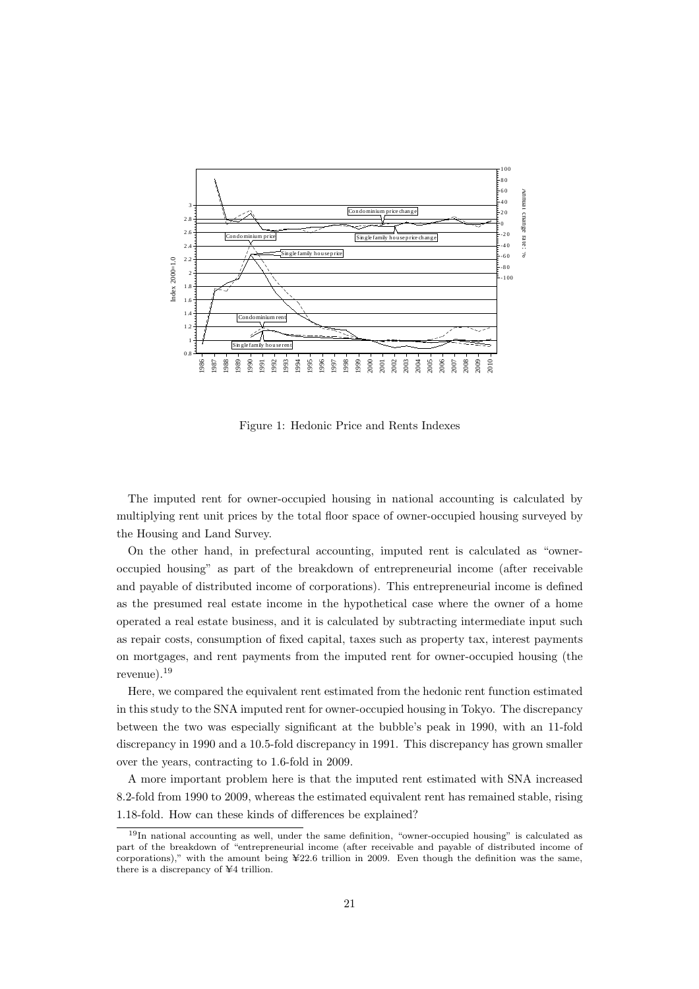

Figure 1: Hedonic Price and Rents Indexes

The imputed rent for owner-occupied housing in national accounting is calculated by multiplying rent unit prices by the total floor space of owner-occupied housing surveyed by the Housing and Land Survey.

On the other hand, in prefectural accounting, imputed rent is calculated as "owneroccupied housing" as part of the breakdown of entrepreneurial income (after receivable and payable of distributed income of corporations). This entrepreneurial income is defined as the presumed real estate income in the hypothetical case where the owner of a home operated a real estate business, and it is calculated by subtracting intermediate input such as repair costs, consumption of fixed capital, taxes such as property tax, interest payments on mortgages, and rent payments from the imputed rent for owner-occupied housing (the revenue).<sup>19</sup>

Here, we compared the equivalent rent estimated from the hedonic rent function estimated in this study to the SNA imputed rent for owner-occupied housing in Tokyo. The discrepancy between the two was especially significant at the bubble's peak in 1990, with an 11-fold discrepancy in 1990 and a 10.5-fold discrepancy in 1991. This discrepancy has grown smaller over the years, contracting to 1.6-fold in 2009.

A more important problem here is that the imputed rent estimated with SNA increased 8.2-fold from 1990 to 2009, whereas the estimated equivalent rent has remained stable, rising 1.18-fold. How can these kinds of differences be explained?

<sup>19</sup>In national accounting as well, under the same definition, "owner-occupied housing" is calculated as part of the breakdown of "entrepreneurial income (after receivable and payable of distributed income of corporations)," with the amount being  $\yen$ 22.6 trillion in 2009. Even though the definition was the same, there is a discrepancy of  $\yen 4$  trillion.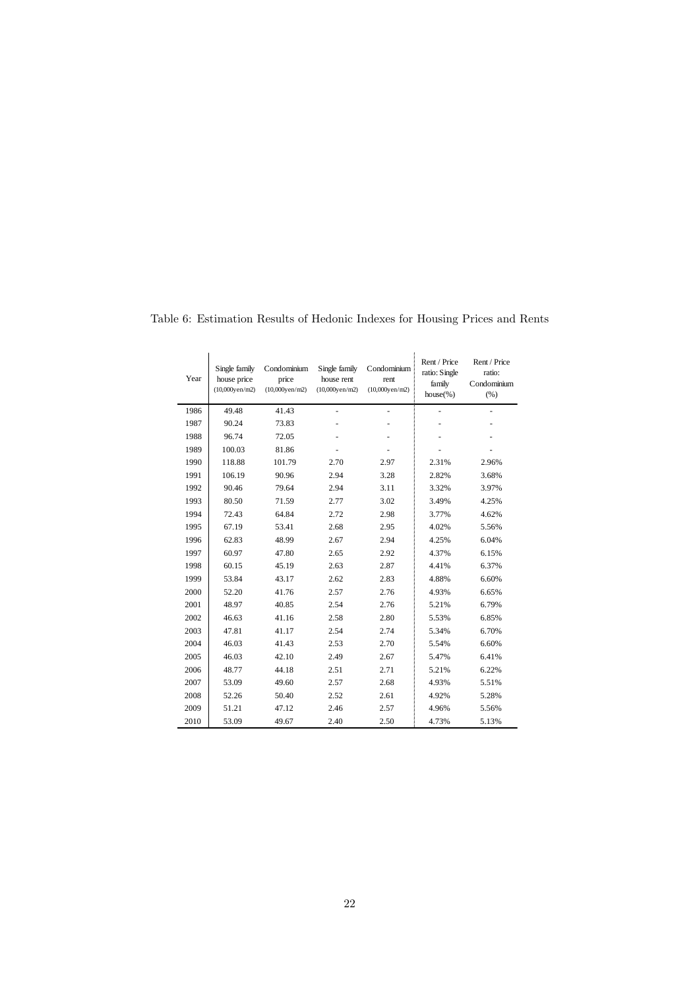| Year | Single family<br>house price<br>$(10,000$ <sub>ven/m2</sub> $)$ | Condominium<br>price<br>$(10,000$ yen/m2) | Single family<br>house rent<br>$(10,000$ yen/m2) | Condominium<br>rent<br>$(10,000$ yen/m2) | Rent / Price<br>ratio: Single<br>family<br>$house(\% )$ | Rent / Price<br>ratio:<br>Condominium<br>(% ) |
|------|-----------------------------------------------------------------|-------------------------------------------|--------------------------------------------------|------------------------------------------|---------------------------------------------------------|-----------------------------------------------|
| 1986 | 49.48                                                           | 41.43                                     | ä,                                               | $\frac{1}{2}$                            |                                                         | $\overline{\phantom{a}}$                      |
| 1987 | 90.24                                                           | 73.83                                     |                                                  |                                          |                                                         |                                               |
| 1988 | 96.74                                                           | 72.05                                     |                                                  |                                          |                                                         |                                               |
| 1989 | 100.03                                                          | 81.86                                     |                                                  |                                          |                                                         |                                               |
| 1990 | 118.88                                                          | 101.79                                    | 2.70                                             | 2.97                                     | 2.31%                                                   | 2.96%                                         |
| 1991 | 106.19                                                          | 90.96                                     | 2.94                                             | 3.28                                     | 2.82%                                                   | 3.68%                                         |
| 1992 | 90.46                                                           | 79.64                                     | 2.94                                             | 3.11                                     | 3.32%                                                   | 3.97%                                         |
| 1993 | 80.50                                                           | 71.59                                     | 2.77                                             | 3.02                                     | 3.49%                                                   | 4.25%                                         |
| 1994 | 72.43                                                           | 64.84                                     | 2.72                                             | 2.98                                     | 3.77%                                                   | 4.62%                                         |
| 1995 | 67.19                                                           | 53.41                                     | 2.68                                             | 2.95                                     | 4.02%                                                   | 5.56%                                         |
| 1996 | 62.83                                                           | 48.99                                     | 2.67                                             | 2.94                                     | 4.25%                                                   | 6.04%                                         |
| 1997 | 60.97                                                           | 47.80                                     | 2.65                                             | 2.92                                     | 4.37%                                                   | 6.15%                                         |
| 1998 | 60.15                                                           | 45.19                                     | 2.63                                             | 2.87                                     | 4.41%                                                   | 6.37%                                         |
| 1999 | 53.84                                                           | 43.17                                     | 2.62                                             | 2.83                                     | 4.88%                                                   | 6.60%                                         |
| 2000 | 52.20                                                           | 41.76                                     | 2.57                                             | 2.76                                     | 4.93%                                                   | 6.65%                                         |
| 2001 | 48.97                                                           | 40.85                                     | 2.54                                             | 2.76                                     | 5.21%                                                   | 6.79%                                         |
| 2002 | 46.63                                                           | 41.16                                     | 2.58                                             | 2.80                                     | 5.53%                                                   | 6.85%                                         |
| 2003 | 47.81                                                           | 41.17                                     | 2.54                                             | 2.74                                     | 5.34%                                                   | 6.70%                                         |
| 2004 | 46.03                                                           | 41.43                                     | 2.53                                             | 2.70                                     | 5.54%                                                   | 6.60%                                         |
| 2005 | 46.03                                                           | 42.10                                     | 2.49                                             | 2.67                                     | 5.47%                                                   | 6.41%                                         |
| 2006 | 48.77                                                           | 44.18                                     | 2.51                                             | 2.71                                     | 5.21%                                                   | 6.22%                                         |
| 2007 | 53.09                                                           | 49.60                                     | 2.57                                             | 2.68                                     | 4.93%                                                   | 5.51%                                         |
| 2008 | 52.26                                                           | 50.40                                     | 2.52                                             | 2.61                                     | 4.92%                                                   | 5.28%                                         |
| 2009 | 51.21                                                           | 47.12                                     | 2.46                                             | 2.57                                     | 4.96%                                                   | 5.56%                                         |
| 2010 | 53.09                                                           | 49.67                                     | 2.40                                             | 2.50                                     | 4.73%                                                   | 5.13%                                         |

Table 6: Estimation Results of Hedonic Indexes for Housing Prices and Rents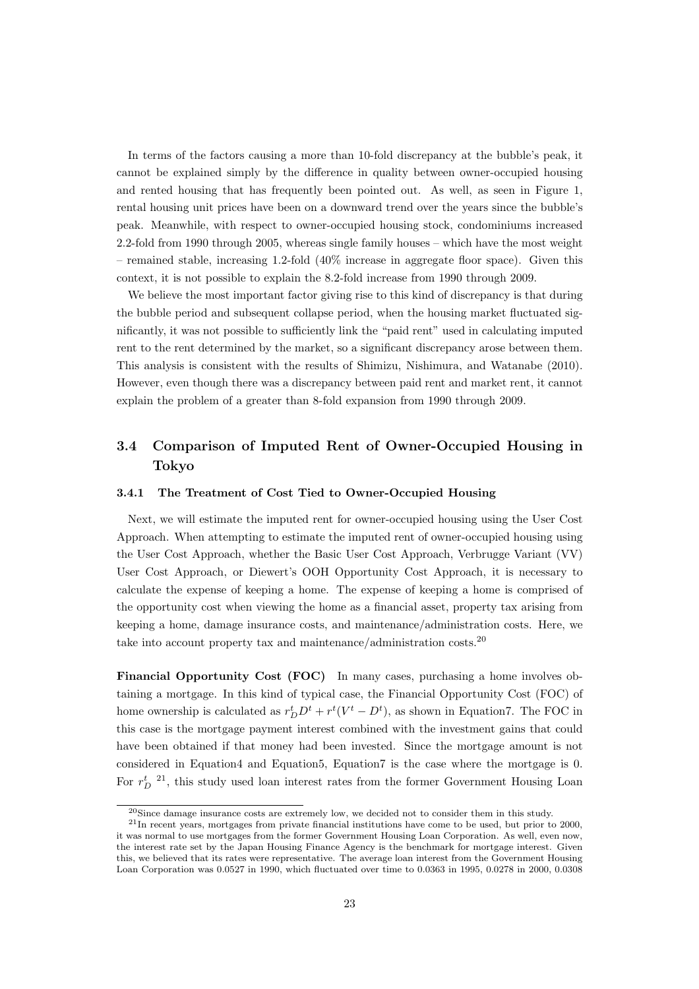In terms of the factors causing a more than 10-fold discrepancy at the bubble's peak, it cannot be explained simply by the difference in quality between owner-occupied housing and rented housing that has frequently been pointed out. As well, as seen in Figure 1, rental housing unit prices have been on a downward trend over the years since the bubble's peak. Meanwhile, with respect to owner-occupied housing stock, condominiums increased 2.2-fold from 1990 through 2005, whereas single family houses – which have the most weight – remained stable, increasing 1.2-fold (40% increase in aggregate floor space). Given this context, it is not possible to explain the 8.2-fold increase from 1990 through 2009.

We believe the most important factor giving rise to this kind of discrepancy is that during the bubble period and subsequent collapse period, when the housing market fluctuated significantly, it was not possible to sufficiently link the "paid rent" used in calculating imputed rent to the rent determined by the market, so a significant discrepancy arose between them. This analysis is consistent with the results of Shimizu, Nishimura, and Watanabe (2010). However, even though there was a discrepancy between paid rent and market rent, it cannot explain the problem of a greater than 8-fold expansion from 1990 through 2009.

# **3.4 Comparison of Imputed Rent of Owner-Occupied Housing in Tokyo**

#### **3.4.1 The Treatment of Cost Tied to Owner-Occupied Housing**

Next, we will estimate the imputed rent for owner-occupied housing using the User Cost Approach. When attempting to estimate the imputed rent of owner-occupied housing using the User Cost Approach, whether the Basic User Cost Approach, Verbrugge Variant (VV) User Cost Approach, or Diewert's OOH Opportunity Cost Approach, it is necessary to calculate the expense of keeping a home. The expense of keeping a home is comprised of the opportunity cost when viewing the home as a financial asset, property tax arising from keeping a home, damage insurance costs, and maintenance/administration costs. Here, we take into account property tax and maintenance/administration costs.<sup>20</sup>

**Financial Opportunity Cost (FOC)** In many cases, purchasing a home involves obtaining a mortgage. In this kind of typical case, the Financial Opportunity Cost (FOC) of home ownership is calculated as  $r_D^t D^t + r^t (V^t - D^t)$ , as shown in Equation7. The FOC in this case is the mortgage payment interest combined with the investment gains that could have been obtained if that money had been invested. Since the mortgage amount is not considered in Equation4 and Equation5, Equation7 is the case where the mortgage is 0. For  $r_D^t$ <sup>21</sup>, this study used loan interest rates from the former Government Housing Loan

<sup>20</sup>Since damage insurance costs are extremely low, we decided not to consider them in this study.

<sup>21</sup>In recent years, mortgages from private financial institutions have come to be used, but prior to 2000, it was normal to use mortgages from the former Government Housing Loan Corporation. As well, even now, the interest rate set by the Japan Housing Finance Agency is the benchmark for mortgage interest. Given this, we believed that its rates were representative. The average loan interest from the Government Housing Loan Corporation was 0.0527 in 1990, which fluctuated over time to 0.0363 in 1995, 0.0278 in 2000, 0.0308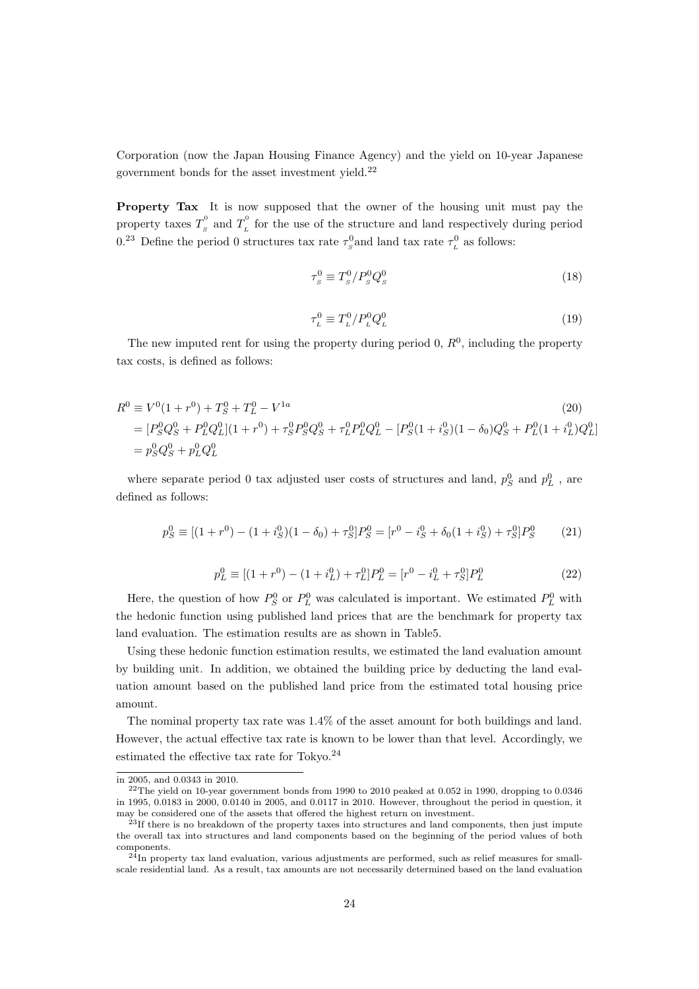Corporation (now the Japan Housing Finance Agency) and the yield on 10-year Japanese government bonds for the asset investment yield. $^{22}$ 

Property Tax It is now supposed that the owner of the housing unit must pay the property taxes  $T_s^0$  $T_L^0$  and  $T_L^0$  $L<sup>o</sup>$  for the use of the structure and land respectively during period 0.<sup>23</sup> Define the period 0 structures tax rate  $\tau_s^0$  and land tax rate  $\tau_L^0$  as follows:

$$
\tau_s^0 \equiv T_s^0 / P_s^0 Q_s^0 \tag{18}
$$

$$
\tau_{\scriptscriptstyle L}^0 \equiv T_{\scriptscriptstyle L}^0 / P_{\scriptscriptstyle L}^0 Q_{\scriptscriptstyle L}^0 \tag{19}
$$

The new imputed rent for using the property during period 0,  $R^0$ , including the property tax costs, is defined as follows:

$$
R^{0} \equiv V^{0}(1+r^{0}) + T_{S}^{0} + T_{L}^{0} - V^{1a}
$$
\n
$$
= [P_{S}^{0}Q_{S}^{0} + P_{L}^{0}Q_{L}^{0}](1+r^{0}) + \tau_{S}^{0}P_{S}^{0}Q_{S}^{0} + \tau_{L}^{0}P_{L}^{0}Q_{L}^{0} - [P_{S}^{0}(1+i_{S}^{0})(1-\delta_{0})Q_{S}^{0} + P_{L}^{0}(1+i_{L}^{0})Q_{L}^{0}]
$$
\n
$$
= p_{S}^{0}Q_{S}^{0} + p_{L}^{0}Q_{L}^{0}
$$
\n
$$
(20)
$$

where separate period 0 tax adjusted user costs of structures and land,  $p_S^0$  and  $p_L^0$ , are defined as follows:

$$
p_S^0 \equiv [(1+r^0) - (1+i_S^0)(1-\delta_0) + \tau_S^0]P_S^0 = [r^0 - i_S^0 + \delta_0(1+i_S^0) + \tau_S^0]P_S^0 \tag{21}
$$

$$
p_L^0 \equiv [(1+r^0) - (1+i_L^0) + \tau_L^0]P_L^0 = [r^0 - i_L^0 + \tau_S^0]P_L^0
$$
\n(22)

Here, the question of how  $P_S^0$  or  $P_L^0$  was calculated is important. We estimated  $P_L^0$  with the hedonic function using published land prices that are the benchmark for property tax land evaluation. The estimation results are as shown in Table5.

Using these hedonic function estimation results, we estimated the land evaluation amount by building unit. In addition, we obtained the building price by deducting the land evaluation amount based on the published land price from the estimated total housing price amount.

The nominal property tax rate was 1.4% of the asset amount for both buildings and land. However, the actual effective tax rate is known to be lower than that level. Accordingly, we estimated the effective tax rate for Tokyo.<sup>24</sup>

in 2005, and 0.0343 in 2010.

 $22$ The yield on 10-year government bonds from 1990 to 2010 peaked at 0.052 in 1990, dropping to 0.0346 in 1995, 0.0183 in 2000, 0.0140 in 2005, and 0.0117 in 2010. However, throughout the period in question, it may be considered one of the assets that offered the highest return on investment.

 $^{23}$ If there is no breakdown of the property taxes into structures and land components, then just impute the overall tax into structures and land components based on the beginning of the period values of both components.

 $^{24}$ In property tax land evaluation, various adjustments are performed, such as relief measures for smallscale residential land. As a result, tax amounts are not necessarily determined based on the land evaluation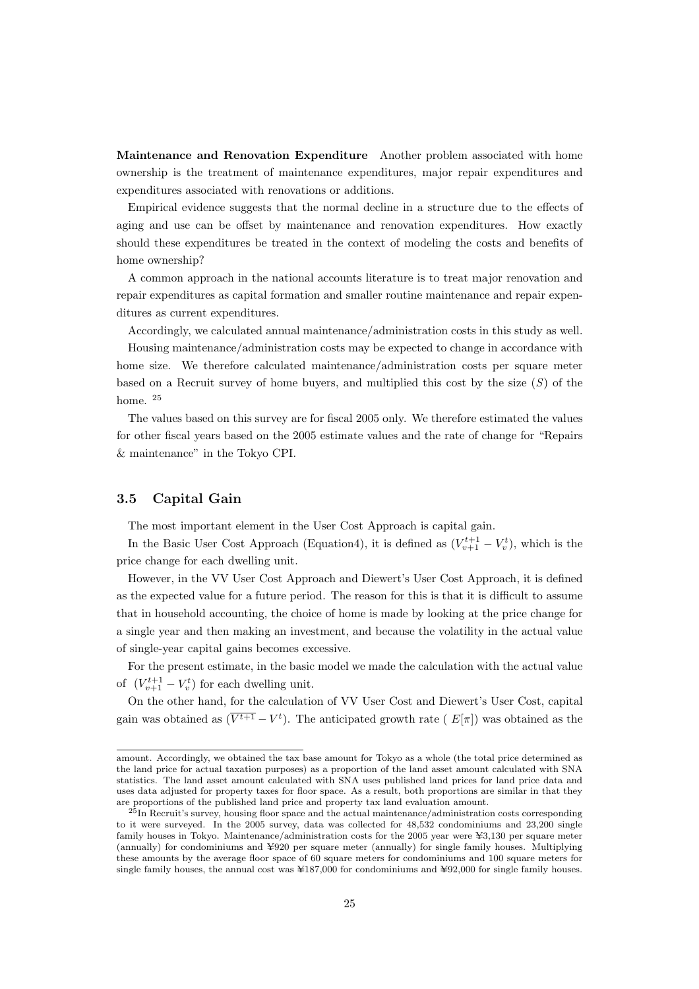**Maintenance and Renovation Expenditure** Another problem associated with home ownership is the treatment of maintenance expenditures, major repair expenditures and expenditures associated with renovations or additions.

Empirical evidence suggests that the normal decline in a structure due to the effects of aging and use can be offset by maintenance and renovation expenditures. How exactly should these expenditures be treated in the context of modeling the costs and benefits of home ownership?

A common approach in the national accounts literature is to treat major renovation and repair expenditures as capital formation and smaller routine maintenance and repair expenditures as current expenditures.

Accordingly, we calculated annual maintenance/administration costs in this study as well.

Housing maintenance/administration costs may be expected to change in accordance with home size. We therefore calculated maintenance/administration costs per square meter based on a Recruit survey of home buyers, and multiplied this cost by the size (*S*) of the home.  $25$ 

The values based on this survey are for fiscal 2005 only. We therefore estimated the values for other fiscal years based on the 2005 estimate values and the rate of change for "Repairs & maintenance" in the Tokyo CPI.

#### **3.5 Capital Gain**

The most important element in the User Cost Approach is capital gain.

In the Basic User Cost Approach (Equation4), it is defined as  $(V_{v+1}^{t+1} - V_v^t)$ , which is the price change for each dwelling unit.

However, in the VV User Cost Approach and Diewert's User Cost Approach, it is defined as the expected value for a future period. The reason for this is that it is difficult to assume that in household accounting, the choice of home is made by looking at the price change for a single year and then making an investment, and because the volatility in the actual value of single-year capital gains becomes excessive.

For the present estimate, in the basic model we made the calculation with the actual value of  $(V_{v+1}^{t+1} - V_v^t)$  for each dwelling unit.

On the other hand, for the calculation of VV User Cost and Diewert's User Cost, capital gain was obtained as  $(\overline{V^{t+1}} - V^t)$ . The anticipated growth rate ( $E[\pi]$ ) was obtained as the

amount. Accordingly, we obtained the tax base amount for Tokyo as a whole (the total price determined as the land price for actual taxation purposes) as a proportion of the land asset amount calculated with SNA statistics. The land asset amount calculated with SNA uses published land prices for land price data and uses data adjusted for property taxes for floor space. As a result, both proportions are similar in that they are proportions of the published land price and property tax land evaluation amount.

<sup>&</sup>lt;sup>25</sup>In Recruit's survey, housing floor space and the actual maintenance/administration costs corresponding to it were surveyed. In the 2005 survey, data was collected for 48,532 condominiums and 23,200 single family houses in Tokyo. Maintenance/administration costs for the 2005 year were  $\yen 3,130$  per square meter (annually) for condominiums and  $\yen$ 920 per square meter (annually) for single family houses. Multiplying these amounts by the average floor space of 60 square meters for condominiums and 100 square meters for single family houses, the annual cost was  $\text{\textless}187,000$  for condominiums and  $\text{\textless}92,000$  for single family houses.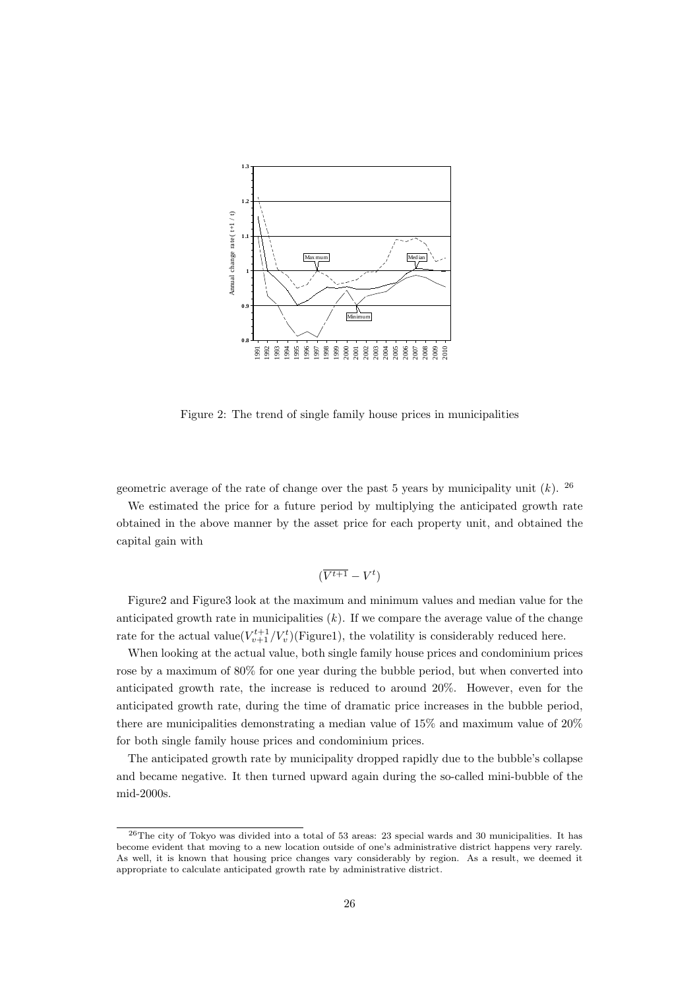

Figure 2: The trend of single family house prices in municipalities

geometric average of the rate of change over the past 5 years by municipality unit (*k*). <sup>26</sup>

We estimated the price for a future period by multiplying the anticipated growth rate obtained in the above manner by the asset price for each property unit, and obtained the capital gain with

$$
(\overline{V^{t+1}}-V^t)
$$

Figure2 and Figure3 look at the maximum and minimum values and median value for the anticipated growth rate in municipalities (*k*). If we compare the average value of the change rate for the actual value $(V_{v+1}^{t+1}/V_v^t)$  (Figure1), the volatility is considerably reduced here.

When looking at the actual value, both single family house prices and condominium prices rose by a maximum of  $80\%$  for one year during the bubble period, but when converted into anticipated growth rate, the increase is reduced to around 20%. However, even for the anticipated growth rate, during the time of dramatic price increases in the bubble period, there are municipalities demonstrating a median value of 15% and maximum value of 20% for both single family house prices and condominium prices.

The anticipated growth rate by municipality dropped rapidly due to the bubble's collapse and became negative. It then turned upward again during the so-called mini-bubble of the mid-2000s.

 $^{26}\mathrm{The}$ city of Tokyo was divided into a total of 53 areas: 23 special wards and 30 municipalities. It has become evident that moving to a new location outside of one's administrative district happens very rarely. As well, it is known that housing price changes vary considerably by region. As a result, we deemed it appropriate to calculate anticipated growth rate by administrative district.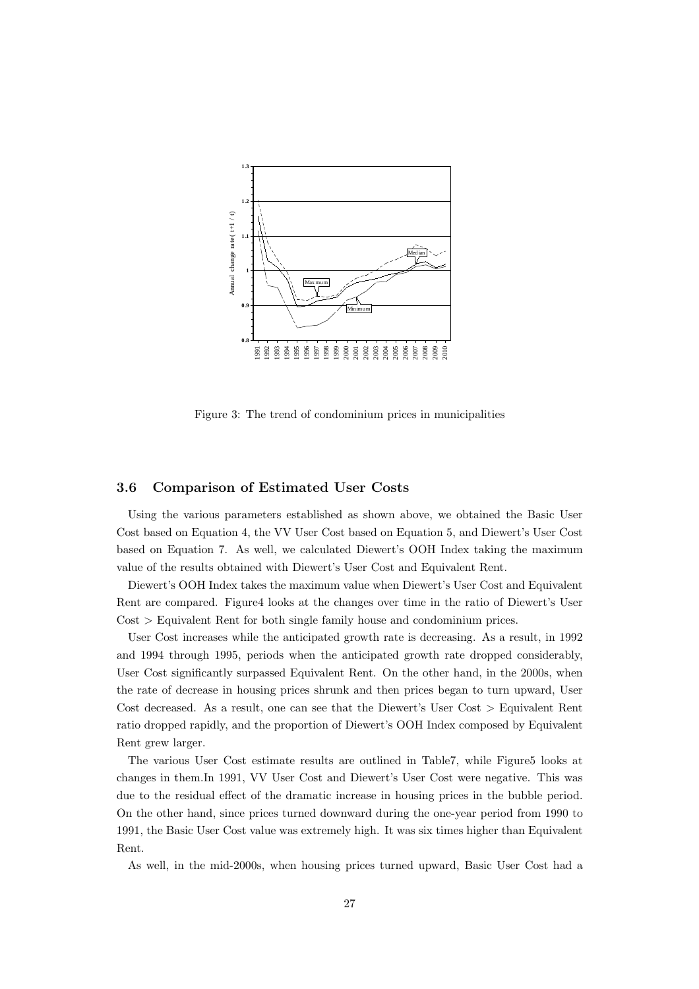

Figure 3: The trend of condominium prices in municipalities

#### **3.6 Comparison of Estimated User Costs**

Using the various parameters established as shown above, we obtained the Basic User Cost based on Equation 4, the VV User Cost based on Equation 5, and Diewert's User Cost based on Equation 7. As well, we calculated Diewert's OOH Index taking the maximum value of the results obtained with Diewert's User Cost and Equivalent Rent.

Diewert's OOH Index takes the maximum value when Diewert's User Cost and Equivalent Rent are compared. Figure4 looks at the changes over time in the ratio of Diewert's User Cost *>* Equivalent Rent for both single family house and condominium prices.

User Cost increases while the anticipated growth rate is decreasing. As a result, in 1992 and 1994 through 1995, periods when the anticipated growth rate dropped considerably, User Cost significantly surpassed Equivalent Rent. On the other hand, in the 2000s, when the rate of decrease in housing prices shrunk and then prices began to turn upward, User Cost decreased. As a result, one can see that the Diewert's User Cost *>* Equivalent Rent ratio dropped rapidly, and the proportion of Diewert's OOH Index composed by Equivalent Rent grew larger.

The various User Cost estimate results are outlined in Table7, while Figure5 looks at changes in them.In 1991, VV User Cost and Diewert's User Cost were negative. This was due to the residual effect of the dramatic increase in housing prices in the bubble period. On the other hand, since prices turned downward during the one-year period from 1990 to 1991, the Basic User Cost value was extremely high. It was six times higher than Equivalent Rent.

As well, in the mid-2000s, when housing prices turned upward, Basic User Cost had a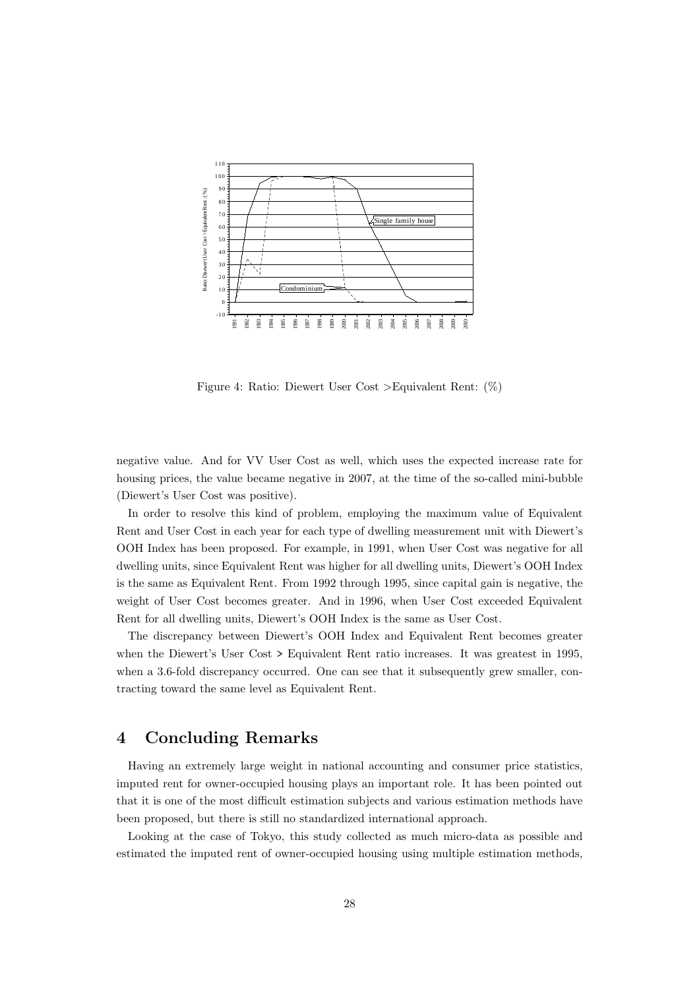

Figure 4: Ratio: Diewert User Cost *>*Equivalent Rent: (%)

negative value. And for VV User Cost as well, which uses the expected increase rate for housing prices, the value became negative in 2007, at the time of the so-called mini-bubble (Diewert's User Cost was positive).

In order to resolve this kind of problem, employing the maximum value of Equivalent Rent and User Cost in each year for each type of dwelling measurement unit with Diewert's OOH Index has been proposed. For example, in 1991, when User Cost was negative for all dwelling units, since Equivalent Rent was higher for all dwelling units, Diewert's OOH Index is the same as Equivalent Rent. From 1992 through 1995, since capital gain is negative, the weight of User Cost becomes greater. And in 1996, when User Cost exceeded Equivalent Rent for all dwelling units, Diewert's OOH Index is the same as User Cost.

The discrepancy between Diewert's OOH Index and Equivalent Rent becomes greater when the Diewert's User Cost > Equivalent Rent ratio increases. It was greatest in 1995, when a 3.6-fold discrepancy occurred. One can see that it subsequently grew smaller, contracting toward the same level as Equivalent Rent.

# **4 Concluding Remarks**

Having an extremely large weight in national accounting and consumer price statistics, imputed rent for owner-occupied housing plays an important role. It has been pointed out that it is one of the most difficult estimation subjects and various estimation methods have been proposed, but there is still no standardized international approach.

Looking at the case of Tokyo, this study collected as much micro-data as possible and estimated the imputed rent of owner-occupied housing using multiple estimation methods,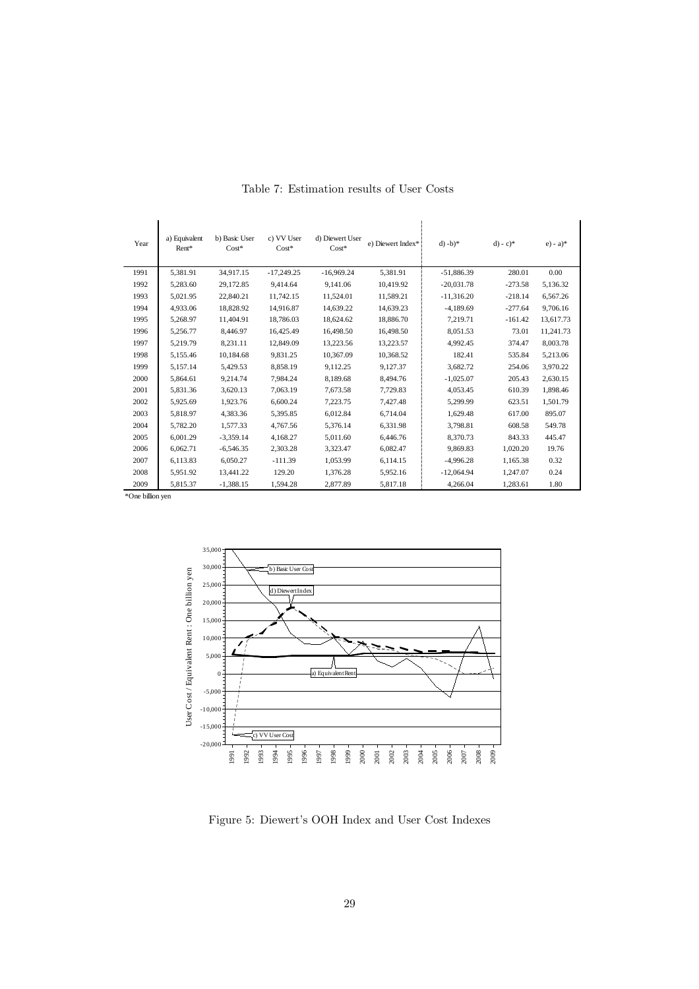| Year | a) Equivalent<br>Rent* | b) Basic User<br>$Cost*$ | c) VV User<br>$Cost*$ | d) Diewert User<br>$Cost*$ | e) Diewert Index* | $d(-b)*$     | $d) - c$ <sup>*</sup> | $e) - a$ <sup>*</sup> |
|------|------------------------|--------------------------|-----------------------|----------------------------|-------------------|--------------|-----------------------|-----------------------|
| 1991 | 5,381.91               | 34,917.15                | $-17,249.25$          | $-16,969.24$               | 5,381.91          | $-51,886.39$ | 280.01                | 0.00                  |
| 1992 | 5.283.60               | 29.172.85                | 9,414.64              | 9.141.06                   | 10.419.92         | $-20.031.78$ | $-273.58$             | 5,136.32              |
| 1993 | 5.021.95               | 22,840.21                | 11.742.15             | 11.524.01                  | 11.589.21         | $-11,316,20$ | $-218.14$             | 6.567.26              |
| 1994 | 4,933.06               | 18,828.92                | 14,916.87             | 14,639.22                  | 14,639.23         | $-4,189.69$  | $-277.64$             | 9,706.16              |
| 1995 | 5,268.97               | 11,404.91                | 18,786.03             | 18,624.62                  | 18,886.70         | 7,219.71     | $-161.42$             | 13,617.73             |
| 1996 | 5,256.77               | 8.446.97                 | 16.425.49             | 16,498.50                  | 16,498.50         | 8,051.53     | 73.01                 | 11,241.73             |
| 1997 | 5.219.79               | 8,231.11                 | 12,849.09             | 13,223.56                  | 13,223.57         | 4,992.45     | 374.47                | 8,003.78              |
| 1998 | 5.155.46               | 10.184.68                | 9.831.25              | 10,367.09                  | 10.368.52         | 182.41       | 535.84                | 5,213.06              |
| 1999 | 5,157.14               | 5,429.53                 | 8,858.19              | 9,112.25                   | 9,127.37          | 3,682.72     | 254.06                | 3,970.22              |
| 2000 | 5,864.61               | 9,214.74                 | 7,984.24              | 8,189.68                   | 8,494.76          | $-1,025.07$  | 205.43                | 2,630.15              |
| 2001 | 5,831.36               | 3,620.13                 | 7,063.19              | 7,673.58                   | 7,729.83          | 4,053.45     | 610.39                | 1,898.46              |
| 2002 | 5.925.69               | 1.923.76                 | 6.600.24              | 7.223.75                   | 7.427.48          | 5.299.99     | 623.51                | 1,501.79              |
| 2003 | 5,818.97               | 4,383.36                 | 5,395.85              | 6,012.84                   | 6,714.04          | 1,629.48     | 617.00                | 895.07                |
| 2004 | 5,782.20               | 1,577.33                 | 4,767.56              | 5,376.14                   | 6,331.98          | 3,798.81     | 608.58                | 549.78                |
| 2005 | 6.001.29               | $-3,359.14$              | 4,168.27              | 5,011.60                   | 6,446.76          | 8.370.73     | 843.33                | 445.47                |
| 2006 | 6,062.71               | $-6,546.35$              | 2,303.28              | 3,323.47                   | 6,082.47          | 9,869.83     | 1,020.20              | 19.76                 |
| 2007 | 6.113.83               | 6.050.27                 | $-111.39$             | 1.053.99                   | 6,114.15          | $-4.996.28$  | 1.165.38              | 0.32                  |
| 2008 | 5,951.92               | 13,441.22                | 129.20                | 1,376.28                   | 5,952.16          | $-12,064.94$ | 1,247.07              | 0.24                  |
| 2009 | 5,815.37               | $-1,388.15$              | 1,594.28              | 2,877.89                   | 5,817.18          | 4,266.04     | 1,283.61              | 1.80                  |

Table 7: Estimation results of User Costs

\*One billion yen



Figure 5: Diewert's OOH Index and User Cost Indexes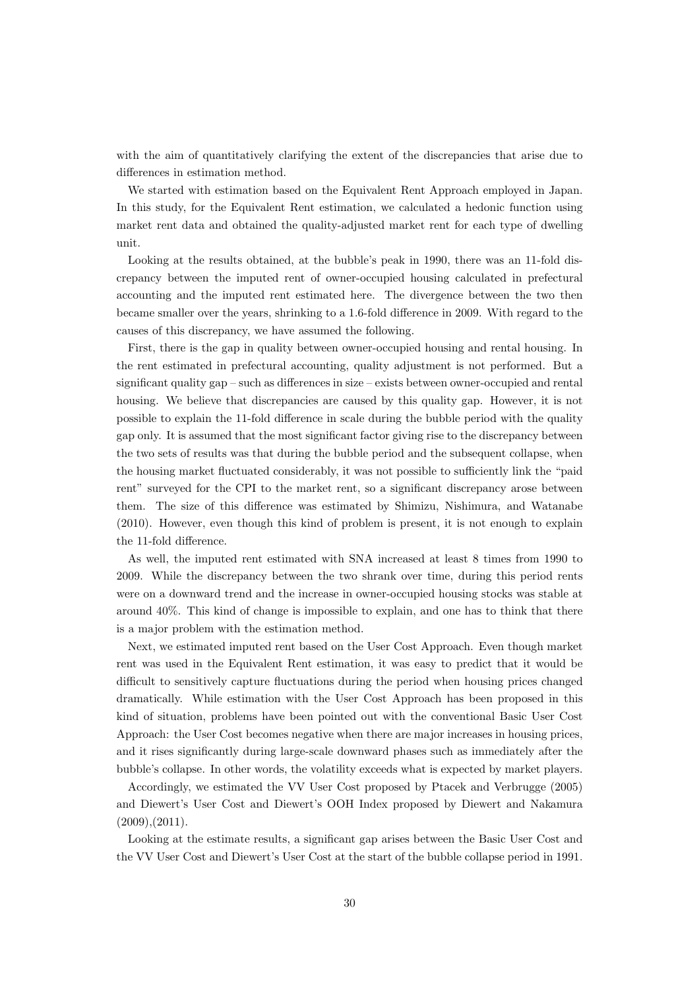with the aim of quantitatively clarifying the extent of the discrepancies that arise due to differences in estimation method.

We started with estimation based on the Equivalent Rent Approach employed in Japan. In this study, for the Equivalent Rent estimation, we calculated a hedonic function using market rent data and obtained the quality-adjusted market rent for each type of dwelling unit.

Looking at the results obtained, at the bubble's peak in 1990, there was an 11-fold discrepancy between the imputed rent of owner-occupied housing calculated in prefectural accounting and the imputed rent estimated here. The divergence between the two then became smaller over the years, shrinking to a 1.6-fold difference in 2009. With regard to the causes of this discrepancy, we have assumed the following.

First, there is the gap in quality between owner-occupied housing and rental housing. In the rent estimated in prefectural accounting, quality adjustment is not performed. But a significant quality gap – such as differences in size – exists between owner-occupied and rental housing. We believe that discrepancies are caused by this quality gap. However, it is not possible to explain the 11-fold difference in scale during the bubble period with the quality gap only. It is assumed that the most significant factor giving rise to the discrepancy between the two sets of results was that during the bubble period and the subsequent collapse, when the housing market fluctuated considerably, it was not possible to sufficiently link the "paid rent" surveyed for the CPI to the market rent, so a significant discrepancy arose between them. The size of this difference was estimated by Shimizu, Nishimura, and Watanabe (2010). However, even though this kind of problem is present, it is not enough to explain the 11-fold difference.

As well, the imputed rent estimated with SNA increased at least 8 times from 1990 to 2009. While the discrepancy between the two shrank over time, during this period rents were on a downward trend and the increase in owner-occupied housing stocks was stable at around 40%. This kind of change is impossible to explain, and one has to think that there is a major problem with the estimation method.

Next, we estimated imputed rent based on the User Cost Approach. Even though market rent was used in the Equivalent Rent estimation, it was easy to predict that it would be difficult to sensitively capture fluctuations during the period when housing prices changed dramatically. While estimation with the User Cost Approach has been proposed in this kind of situation, problems have been pointed out with the conventional Basic User Cost Approach: the User Cost becomes negative when there are major increases in housing prices, and it rises significantly during large-scale downward phases such as immediately after the bubble's collapse. In other words, the volatility exceeds what is expected by market players.

Accordingly, we estimated the VV User Cost proposed by Ptacek and Verbrugge (2005) and Diewert's User Cost and Diewert's OOH Index proposed by Diewert and Nakamura  $(2009),(2011).$ 

Looking at the estimate results, a significant gap arises between the Basic User Cost and the VV User Cost and Diewert's User Cost at the start of the bubble collapse period in 1991.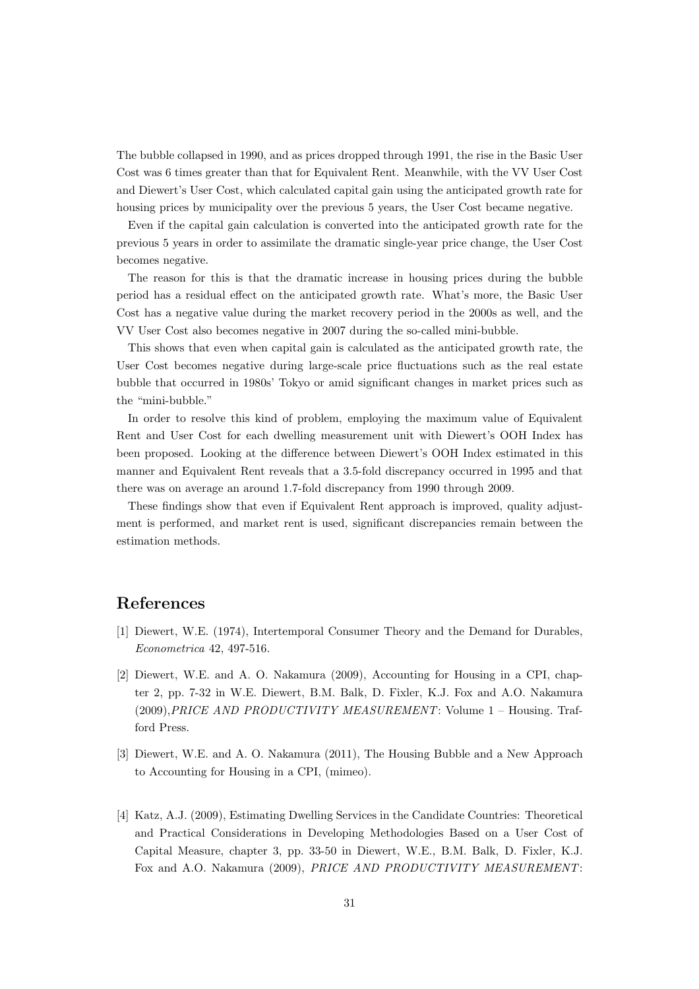The bubble collapsed in 1990, and as prices dropped through 1991, the rise in the Basic User Cost was 6 times greater than that for Equivalent Rent. Meanwhile, with the VV User Cost and Diewert's User Cost, which calculated capital gain using the anticipated growth rate for housing prices by municipality over the previous 5 years, the User Cost became negative.

Even if the capital gain calculation is converted into the anticipated growth rate for the previous 5 years in order to assimilate the dramatic single-year price change, the User Cost becomes negative.

The reason for this is that the dramatic increase in housing prices during the bubble period has a residual effect on the anticipated growth rate. What's more, the Basic User Cost has a negative value during the market recovery period in the 2000s as well, and the VV User Cost also becomes negative in 2007 during the so-called mini-bubble.

This shows that even when capital gain is calculated as the anticipated growth rate, the User Cost becomes negative during large-scale price fluctuations such as the real estate bubble that occurred in 1980s' Tokyo or amid significant changes in market prices such as the "mini-bubble."

In order to resolve this kind of problem, employing the maximum value of Equivalent Rent and User Cost for each dwelling measurement unit with Diewert's OOH Index has been proposed. Looking at the difference between Diewert's OOH Index estimated in this manner and Equivalent Rent reveals that a 3.5-fold discrepancy occurred in 1995 and that there was on average an around 1.7-fold discrepancy from 1990 through 2009.

These findings show that even if Equivalent Rent approach is improved, quality adjustment is performed, and market rent is used, significant discrepancies remain between the estimation methods.

# **References**

- [1] Diewert, W.E. (1974), Intertemporal Consumer Theory and the Demand for Durables, *Econometrica* 42, 497-516.
- [2] Diewert, W.E. and A. O. Nakamura (2009), Accounting for Housing in a CPI, chapter 2, pp. 7-32 in W.E. Diewert, B.M. Balk, D. Fixler, K.J. Fox and A.O. Nakamura (2009),*PRICE AND PRODUCTIVITY MEASUREMENT*: Volume 1 – Housing. Trafford Press.
- [3] Diewert, W.E. and A. O. Nakamura (2011), The Housing Bubble and a New Approach to Accounting for Housing in a CPI, (mimeo).
- [4] Katz, A.J. (2009), Estimating Dwelling Services in the Candidate Countries: Theoretical and Practical Considerations in Developing Methodologies Based on a User Cost of Capital Measure, chapter 3, pp. 33-50 in Diewert, W.E., B.M. Balk, D. Fixler, K.J. Fox and A.O. Nakamura (2009), *PRICE AND PRODUCTIVITY MEASUREMENT*: